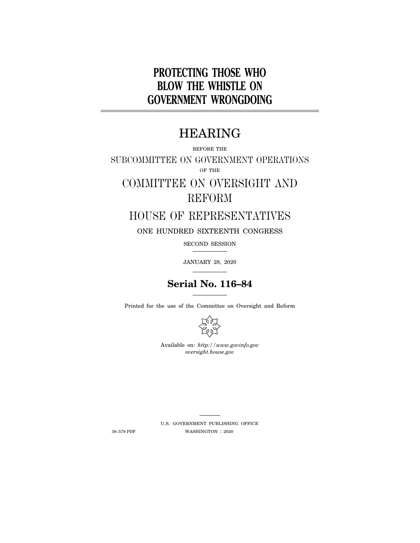# **PROTECTING THOSE WHO BLOW THE WHISTLE ON GOVERNMENT WRONGDOING**

# HEARING

BEFORE THE

SUBCOMMITTEE ON GOVERNMENT OPERATIONS OF THE

# COMMITTEE ON OVERSIGHT AND REFORM

# HOUSE OF REPRESENTATIVES

ONE HUNDRED SIXTEENTH CONGRESS

SECOND SESSION

JANUARY 28, 2020

# **Serial No. 116–84**

Printed for the use of the Committee on Oversight and Reform



Available on: *http://www.govinfo.gov oversight.house.gov* 

U.S. GOVERNMENT PUBLISHING OFFICE 39–579 PDF WASHINGTON : 2020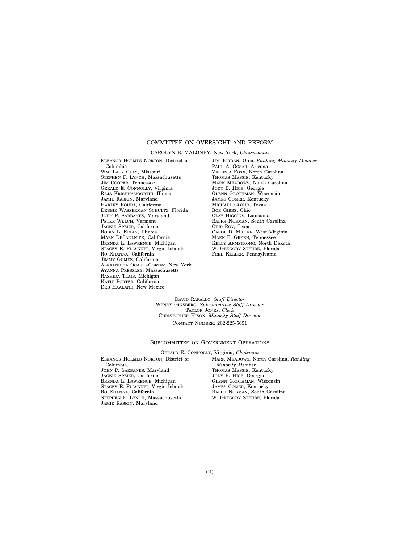### COMMITTEE ON OVERSIGHT AND REFORM

#### CAROLYN B. MALONEY, New York, *Chairwoman*

ELEANOR HOLMES NORTON, District of Columbia WM. LACY CLAY, Missouri STEPHEN F. LYNCH, Massachusetts JIM COOPER, Tennessee GERALD E. CONNOLLY, Virginia RAJA KRISHNAMOORTHI, Illinois JAMIE RASKIN, Maryland HARLEY ROUDA, California DEBBIE WASSERMAN SCHULTZ, Florida JOHN P. SARBANES, Maryland PETER WELCH, Vermont JACKIE SPEIER, California ROBIN L. KELLY, Illinois MARK DESAULNIER, California BRENDA L. LAWRENCE, Michigan STACEY E. PLASKETT, Virgin Islands RO KHANNA, California JIMMY GOMEZ, California ALEXANDRIA OCASIO-CORTEZ, New York AYANNA PRESSLEY, Massachusetts RASHIDA TLAIB, Michigan KATIE PORTER, California DEB HAALAND, New Mexico

JIM JORDAN, Ohio, *Ranking Minority Member*  PAUL A. GOSAR, Arizona VIRGINIA FOXX, North Carolina THOMAS MASSIE, Kentucky MARK MEADOWS, North Carolina JODY B. HICE, Georgia GLENN GROTHMAN, Wisconsin JAMES COMER, Kentucky MICHAEL CLOUD, Texas BOB GIBBS, Ohio CLAY HIGGINS, Louisiana RALPH NORMAN, South Carolina CHIP ROY, Texas CAROL D. MILLER, West Virginia MARK E. GREEN, Tennessee KELLY ARMSTRONG, North Dakota W. GREGORY STEUBE, Florida FRED KELLER, Pennsylvania

DAVID RAPALLO, *Staff Director*  WENDY GINSBERG, *Subcommittee Staff Director*  TAYLOR JONES, *Clerk*  CHRISTOPHER HIXON, *Minority Staff Director*  CONTACT NUMBER: 202-225-5051

#### SUBCOMMITTEE ON GOVERNMENT OPERATIONS

GERALD E. CONNOLLY, Virginia, *Chairman* 

ELEANOR HOLMES NORTON, District of Columbia, JOHN P. SARBANES, Maryland JACKIE SPEIER, California BRENDA L. LAWRENCE, Michigan STACEY E. PLASKETT, Virgin Islands RO KHANNA, California STEPHEN F. LYNCH, Massachusetts JAMIE RASKIN, Maryland

MARK MEADOWS, North Carolina, *Ranking Minority Member*  THOMAS MASSIE, Kentucky JODY B. HICE, Georgia GLENN GROTHMAN, Wisconsin JAMES COMER, Kentucky RALPH NORMAN, South Carolina W. GREGORY STEUBE, Florida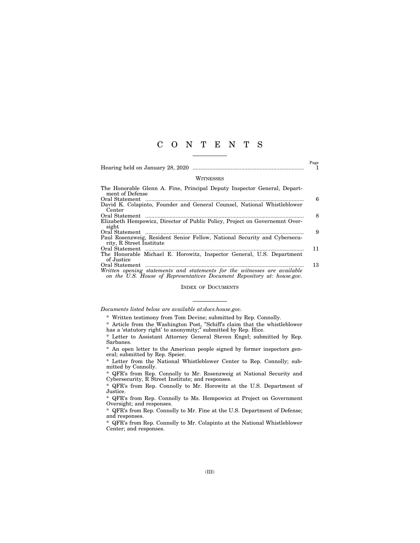### C O N T E N T S

|--|--|--|--|--|--|--|--|

 $_{\rm 1}^{\rm Page}$ 

#### **WITNESSES**

| The Honorable Glenn A. Fine, Principal Deputy Inspector General, Depart-                                                                             |    |
|------------------------------------------------------------------------------------------------------------------------------------------------------|----|
| ment of Defense                                                                                                                                      |    |
| Oral Statement                                                                                                                                       | 6  |
| David K. Colapinto, Founder and General Counsel, National Whistleblower                                                                              |    |
| Center                                                                                                                                               |    |
| Oral Statement                                                                                                                                       | 8  |
| Elizabeth Hempowicz, Director of Public Policy, Project on Governemnt Over-                                                                          |    |
| sight                                                                                                                                                |    |
|                                                                                                                                                      | 9  |
| Paul Rosenzweig, Resident Senior Fellow, National Security and Cybersecu-                                                                            |    |
| rity, R Street Institute                                                                                                                             |    |
|                                                                                                                                                      | 11 |
| The Honorable Michael E. Horowitz, Inspector General, U.S. Department                                                                                |    |
| of Justice                                                                                                                                           |    |
|                                                                                                                                                      | 13 |
| Written opening statements and statements for the witnesses are available<br>on the U.S. House of Representatives Document Repository at: house.gov. |    |
|                                                                                                                                                      |    |

#### INDEX OF DOCUMENTS

#### *Documents listed below are available at:docs.house.gov.*

\* Written testimony from Tom Devine; submitted by Rep. Connolly.

\* Article from the Washington Post, ″Schiff's claim that the whistleblower has a 'statutory right' to anonymity;″ submitted by Rep. Hice.

\* Letter to Assistant Attorney General Steven Engel; submitted by Rep. Sarbanes.

\* An open letter to the American people signed by former inspectors general; submitted by Rep. Speier.

\* Letter from the National Whistleblower Center to Rep. Connolly; submitted by Connolly.

\* QFR's from Rep. Connolly to Mr. Rosenzweig at National Security and Cybersecurity, R Street Institute; and responses.

\* QFR's from Rep. Connolly to Mr. Horowitz at the U.S. Department of Justice.

\* QFR's from Rep. Connolly to Ms. Hempowicz at Project on Government Oversight; and responses.

\* QFR's from Rep. Connolly to Mr. Fine at the U.S. Department of Defense; and responses.

\* QFR's from Rep. Connolly to Mr. Colapinto at the National Whistleblower Center; and responses.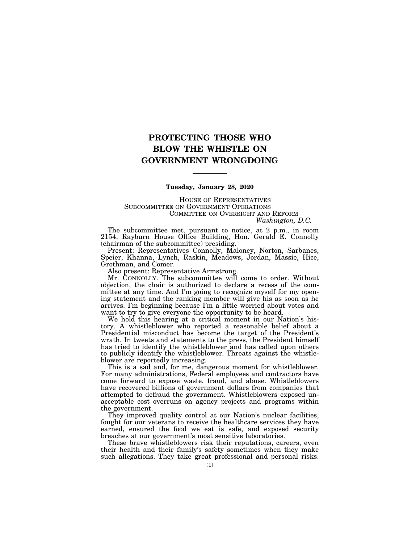## **PROTECTING THOSE WHO BLOW THE WHISTLE ON GOVERNMENT WRONGDOING**

#### **Tuesday, January 28, 2020**

HOUSE OF REPRESENTATIVES SUBCOMMITTEE ON GOVERNMENT OPERATIONS COMMITTEE ON OVERSIGHT AND REFORM *Washington, D.C.* 

The subcommittee met, pursuant to notice, at 2 p.m., in room 2154, Rayburn House Office Building, Hon. Gerald E. Connolly (chairman of the subcommittee) presiding.

Present: Representatives Connolly, Maloney, Norton, Sarbanes, Speier, Khanna, Lynch, Raskin, Meadows, Jordan, Massie, Hice, Grothman, and Comer.

Also present: Representative Armstrong.

Mr. CONNOLLY. The subcommittee will come to order. Without objection, the chair is authorized to declare a recess of the committee at any time. And I'm going to recognize myself for my opening statement and the ranking member will give his as soon as he arrives. I'm beginning because I'm a little worried about votes and want to try to give everyone the opportunity to be heard.

We hold this hearing at a critical moment in our Nation's history. A whistleblower who reported a reasonable belief about a Presidential misconduct has become the target of the President's wrath. In tweets and statements to the press, the President himself has tried to identify the whistleblower and has called upon others to publicly identify the whistleblower. Threats against the whistleblower are reportedly increasing.

This is a sad and, for me, dangerous moment for whistleblower. For many administrations, Federal employees and contractors have come forward to expose waste, fraud, and abuse. Whistleblowers have recovered billions of government dollars from companies that attempted to defraud the government. Whistleblowers exposed unacceptable cost overruns on agency projects and programs within the government.

They improved quality control at our Nation's nuclear facilities, fought for our veterans to receive the healthcare services they have earned, ensured the food we eat is safe, and exposed security breaches at our government's most sensitive laboratories.

These brave whistleblowers risk their reputations, careers, even their health and their family's safety sometimes when they make such allegations. They take great professional and personal risks.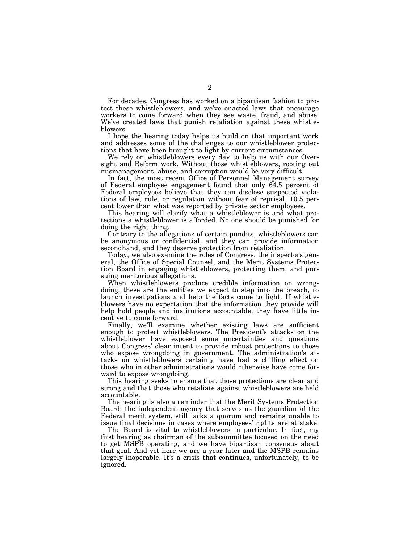For decades, Congress has worked on a bipartisan fashion to protect these whistleblowers, and we've enacted laws that encourage workers to come forward when they see waste, fraud, and abuse. We've created laws that punish retaliation against these whistleblowers.

I hope the hearing today helps us build on that important work and addresses some of the challenges to our whistleblower protections that have been brought to light by current circumstances.

We rely on whistleblowers every day to help us with our Oversight and Reform work. Without those whistleblowers, rooting out mismanagement, abuse, and corruption would be very difficult.

In fact, the most recent Office of Personnel Management survey of Federal employee engagement found that only 64.5 percent of Federal employees believe that they can disclose suspected violations of law, rule, or regulation without fear of reprisal, 10.5 percent lower than what was reported by private sector employees.

This hearing will clarify what a whistleblower is and what protections a whistleblower is afforded. No one should be punished for doing the right thing.

Contrary to the allegations of certain pundits, whistleblowers can be anonymous or confidential, and they can provide information secondhand, and they deserve protection from retaliation.

Today, we also examine the roles of Congress, the inspectors general, the Office of Special Counsel, and the Merit Systems Protection Board in engaging whistleblowers, protecting them, and pursuing meritorious allegations.

When whistleblowers produce credible information on wrongdoing, these are the entities we expect to step into the breach, to launch investigations and help the facts come to light. If whistleblowers have no expectation that the information they provide will help hold people and institutions accountable, they have little incentive to come forward.

Finally, we'll examine whether existing laws are sufficient enough to protect whistleblowers. The President's attacks on the whistleblower have exposed some uncertainties and questions about Congress' clear intent to provide robust protections to those who expose wrongdoing in government. The administration's attacks on whistleblowers certainly have had a chilling effect on those who in other administrations would otherwise have come forward to expose wrongdoing.

This hearing seeks to ensure that those protections are clear and strong and that those who retaliate against whistleblowers are held accountable.

The hearing is also a reminder that the Merit Systems Protection Board, the independent agency that serves as the guardian of the Federal merit system, still lacks a quorum and remains unable to issue final decisions in cases where employees' rights are at stake.

The Board is vital to whistleblowers in particular. In fact, my first hearing as chairman of the subcommittee focused on the need to get MSPB operating, and we have bipartisan consensus about that goal. And yet here we are a year later and the MSPB remains largely inoperable. It's a crisis that continues, unfortunately, to be ignored.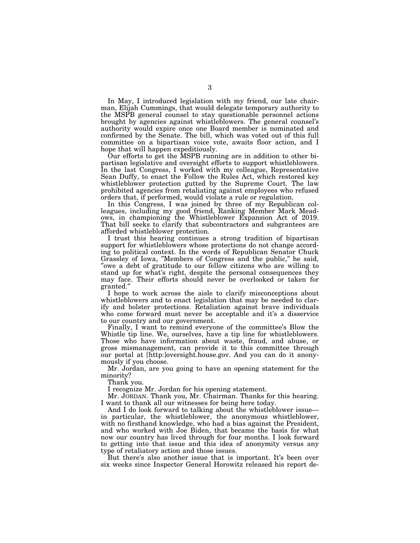In May, I introduced legislation with my friend, our late chairman, Elijah Cummings, that would delegate temporary authority to the MSPB general counsel to stay questionable personnel actions brought by agencies against whistleblowers. The general counsel's authority would expire once one Board member is nominated and confirmed by the Senate. The bill, which was voted out of this full committee on a bipartisan voice vote, awaits floor action, and I hope that will happen expeditiously.

Our efforts to get the MSPB running are in addition to other bipartisan legislative and oversight efforts to support whistleblowers. In the last Congress, I worked with my colleague, Representative Sean Duffy, to enact the Follow the Rules Act, which restored key whistleblower protection gutted by the Supreme Court. The law prohibited agencies from retaliating against employees who refused orders that, if performed, would violate a rule or regulation.

In this Congress, I was joined by three of my Republican colleagues, including my good friend, Ranking Member Mark Meadows, in championing the Whistleblower Expansion Act of 2019. That bill seeks to clarify that subcontractors and subgrantees are afforded whistleblower protection.

I trust this hearing continues a strong tradition of bipartisan support for whistleblowers whose protections do not change according to political context. In the words of Republican Senator Chuck<br>Grassley of Iowa, "Members of Congress and the public," he said, "owe a debt of gratitude to our fellow citizens who are willing to stand up for what's right, despite the personal consequences they may face. Their efforts should never be overlooked or taken for granted.″

I hope to work across the aisle to clarify misconceptions about whistleblowers and to enact legislation that may be needed to clarify and bolster protections. Retaliation against brave individuals who come forward must never be acceptable and it's a disservice to our country and our government.

Finally, I want to remind everyone of the committee's Blow the Whistle tip line. We, ourselves, have a tip line for whistleblowers. Those who have information about waste, fraud, and abuse, or gross mismanagement, can provide it to this committee through our portal at [http:]oversight.house.gov. And you can do it anonymously if you choose.

Mr. Jordan, are you going to have an opening statement for the minority?

Thank you.

I recognize Mr. Jordan for his opening statement.

Mr. JORDAN. Thank you, Mr. Chairman. Thanks for this hearing. I want to thank all our witnesses for being here today.

And I do look forward to talking about the whistleblower issue in particular, the whistleblower, the anonymous whistleblower, with no firsthand knowledge, who had a bias against the President, and who worked with Joe Biden, that became the basis for what now our country has lived through for four months. I look forward to getting into that issue and this idea of anonymity versus any type of retaliatory action and those issues.

But there's also another issue that is important. It's been over six weeks since Inspector General Horowitz released his report de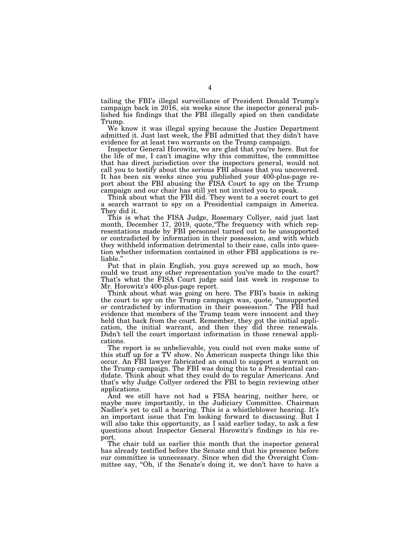tailing the FBI's illegal surveillance of President Donald Trump's campaign back in 2016, six weeks since the inspector general published his findings that the FBI illegally spied on then candidate Trump.

We know it was illegal spying because the Justice Department admitted it. Just last week, the FBI admitted that they didn't have evidence for at least two warrants on the Trump campaign.

Inspector General Horowitz, we are glad that you're here. But for the life of me, I can't imagine why this committee, the committee that has direct jurisdiction over the inspectors general, would not call you to testify about the serious FBI abuses that you uncovered. It has been six weeks since you published your 400-plus-page report about the FBI abusing the FISA Court to spy on the Trump campaign and our chair has still yet not invited you to speak.

Think about what the FBI did. They went to a secret court to get a search warrant to spy on a Presidential campaign in America. They did it.

This is what the FISA Judge, Rosemary Collyer, said just last month, December 17, 2019, quote, "The frequency with which representations made by FBI personnel turned out to be unsupported or contradicted by information in their possession, and with which they withheld information detrimental to their case, calls into question whether information contained in other FBI applications is reliable.''

Put that in plain English, you guys screwed up so much, how could we trust any other representation you've made to the court? That's what the FISA Court judge said last week in response to Mr. Horowitz's 400-plus-page report.

Think about what was going on here. The FBI's basis in asking the court to spy on the Trump campaign was, quote, ''unsupported or contradicted by information in their possession.'' The FBI had evidence that members of the Trump team were innocent and they held that back from the court. Remember, they got the initial application, the initial warrant, and then they did three renewals. Didn't tell the court important information in those renewal applications.

The report is so unbelievable, you could not even make some of this stuff up for a TV show. No American suspects things like this occur. An FBI lawyer fabricated an email to support a warrant on the Trump campaign. The FBI was doing this to a Presidential candidate. Think about what they could do to regular Americans. And that's why Judge Collyer ordered the FBI to begin reviewing other applications.

And we still have not had a FISA hearing, neither here, or maybe more importantly, in the Judiciary Committee. Chairman Nadler's yet to call a hearing. This is a whistleblower hearing. It's an important issue that I'm looking forward to discussing. But I will also take this opportunity, as I said earlier today, to ask a few questions about Inspector General Horowitz's findings in his report.

The chair told us earlier this month that the inspector general has already testified before the Senate and that his presence before our committee is unnecessary. Since when did the Oversight Committee say, "Oh, if the Senate's doing it, we don't have to have a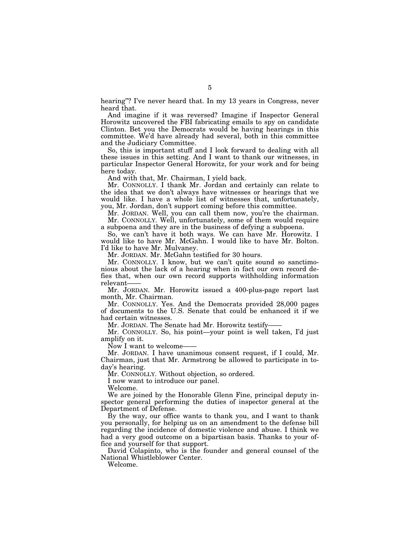hearing"? I've never heard that. In my 13 years in Congress, never heard that.

And imagine if it was reversed? Imagine if Inspector General Horowitz uncovered the FBI fabricating emails to spy on candidate Clinton. Bet you the Democrats would be having hearings in this committee. We'd have already had several, both in this committee and the Judiciary Committee.

So, this is important stuff and I look forward to dealing with all these issues in this setting. And I want to thank our witnesses, in particular Inspector General Horowitz, for your work and for being here today.

And with that, Mr. Chairman, I yield back.

Mr. CONNOLLY. I thank Mr. Jordan and certainly can relate to the idea that we don't always have witnesses or hearings that we would like. I have a whole list of witnesses that, unfortunately, you, Mr. Jordan, don't support coming before this committee.

Mr. JORDAN. Well, you can call them now, you're the chairman. Mr. CONNOLLY. Well, unfortunately, some of them would require a subpoena and they are in the business of defying a subpoena.

So, we can't have it both ways. We can have Mr. Horowitz. I would like to have Mr. McGahn. I would like to have Mr. Bolton. I'd like to have Mr. Mulvaney.

Mr. JORDAN. Mr. McGahn testified for 30 hours.

Mr. CONNOLLY. I know, but we can't quite sound so sanctimonious about the lack of a hearing when in fact our own record defies that, when our own record supports withholding information relevant——

Mr. JORDAN. Mr. Horowitz issued a 400-plus-page report last month, Mr. Chairman.

Mr. CONNOLLY. Yes. And the Democrats provided 28,000 pages of documents to the U.S. Senate that could be enhanced it if we had certain witnesses.

Mr. JORDAN. The Senate had Mr. Horowitz testify-

Mr. CONNOLLY. So, his point—your point is well taken, I'd just amplify on it.

Now I want to welcome——

Mr. JORDAN. I have unanimous consent request, if I could, Mr. Chairman, just that Mr. Armstrong be allowed to participate in today's hearing.

Mr. CONNOLLY. Without objection, so ordered.

I now want to introduce our panel.

Welcome.

We are joined by the Honorable Glenn Fine, principal deputy inspector general performing the duties of inspector general at the Department of Defense.

By the way, our office wants to thank you, and I want to thank you personally, for helping us on an amendment to the defense bill regarding the incidence of domestic violence and abuse. I think we had a very good outcome on a bipartisan basis. Thanks to your office and yourself for that support.

David Colapinto, who is the founder and general counsel of the National Whistleblower Center.

Welcome.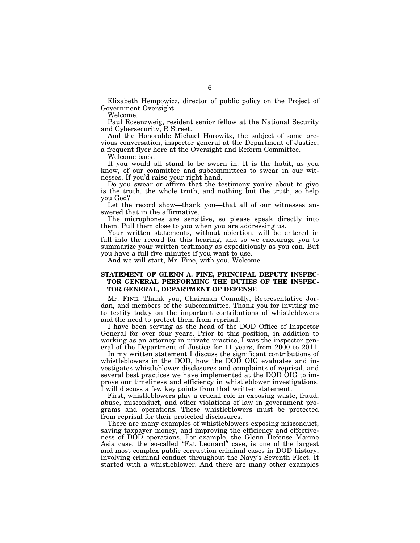Elizabeth Hempowicz, director of public policy on the Project of Government Oversight.

Welcome.

Paul Rosenzweig, resident senior fellow at the National Security and Cybersecurity, R Street.

And the Honorable Michael Horowitz, the subject of some previous conversation, inspector general at the Department of Justice, a frequent flyer here at the Oversight and Reform Committee.

Welcome back.

If you would all stand to be sworn in. It is the habit, as you know, of our committee and subcommittees to swear in our witnesses. If you'd raise your right hand.

Do you swear or affirm that the testimony you're about to give is the truth, the whole truth, and nothing but the truth, so help you God?

Let the record show—thank you—that all of our witnesses answered that in the affirmative.

The microphones are sensitive, so please speak directly into them. Pull them close to you when you are addressing us.

Your written statements, without objection, will be entered in full into the record for this hearing, and so we encourage you to summarize your written testimony as expeditiously as you can. But you have a full five minutes if you want to use.

And we will start, Mr. Fine, with you. Welcome.

### **STATEMENT OF GLENN A. FINE, PRINCIPAL DEPUTY INSPEC-TOR GENERAL PERFORMING THE DUTIES OF THE INSPEC-TOR GENERAL, DEPARTMENT OF DEFENSE**

Mr. FINE. Thank you, Chairman Connolly, Representative Jordan, and members of the subcommittee. Thank you for inviting me to testify today on the important contributions of whistleblowers and the need to protect them from reprisal.

I have been serving as the head of the DOD Office of Inspector General for over four years. Prior to this position, in addition to working as an attorney in private practice,  $\overline{I}$  was the inspector general of the Department of Justice for 11 years, from 2000 to 2011.

In my written statement I discuss the significant contributions of whistleblowers in the DOD, how the DOD OIG evaluates and investigates whistleblower disclosures and complaints of reprisal, and several best practices we have implemented at the DOD OIG to improve our timeliness and efficiency in whistleblower investigations. I will discuss a few key points from that written statement.

First, whistleblowers play a crucial role in exposing waste, fraud, abuse, misconduct, and other violations of law in government programs and operations. These whistleblowers must be protected from reprisal for their protected disclosures.

There are many examples of whistleblowers exposing misconduct, saving taxpayer money, and improving the efficiency and effectiveness of DOD operations. For example, the Glenn Defense Marine Asia case, the so-called "Fat Leonard" case, is one of the largest and most complex public corruption criminal cases in DOD history, involving criminal conduct throughout the Navy's Seventh Fleet. It started with a whistleblower. And there are many other examples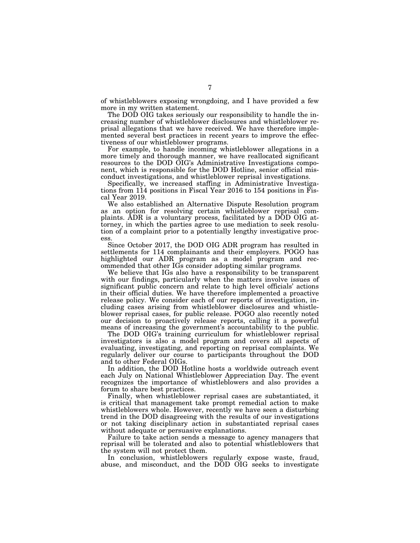of whistleblowers exposing wrongdoing, and I have provided a few more in my written statement.

The DOD OIG takes seriously our responsibility to handle the increasing number of whistleblower disclosures and whistleblower reprisal allegations that we have received. We have therefore implemented several best practices in recent years to improve the effectiveness of our whistleblower programs.

For example, to handle incoming whistleblower allegations in a more timely and thorough manner, we have reallocated significant resources to the DOD OIG's Administrative Investigations component, which is responsible for the DOD Hotline, senior official misconduct investigations, and whistleblower reprisal investigations.

Specifically, we increased staffing in Administrative Investigations from 114 positions in Fiscal Year 2016 to 154 positions in Fiscal Year 2019.

We also established an Alternative Dispute Resolution program as an option for resolving certain whistleblower reprisal complaints. ADR is a voluntary process, facilitated by a DOD OIG attorney, in which the parties agree to use mediation to seek resolution of a complaint prior to a potentially lengthy investigative process.

Since October 2017, the DOD OIG ADR program has resulted in settlements for 114 complainants and their employers. POGO has highlighted our ADR program as a model program and recommended that other IGs consider adopting similar programs.

We believe that IGs also have a responsibility to be transparent with our findings, particularly when the matters involve issues of significant public concern and relate to high level officials' actions in their official duties. We have therefore implemented a proactive release policy. We consider each of our reports of investigation, including cases arising from whistleblower disclosures and whistleblower reprisal cases, for public release. POGO also recently noted our decision to proactively release reports, calling it a powerful means of increasing the government's accountability to the public.

The DOD OIG's training curriculum for whistleblower reprisal investigators is also a model program and covers all aspects of evaluating, investigating, and reporting on reprisal complaints. We regularly deliver our course to participants throughout the DOD and to other Federal OIGs.

In addition, the DOD Hotline hosts a worldwide outreach event each July on National Whistleblower Appreciation Day. The event recognizes the importance of whistleblowers and also provides a forum to share best practices.

Finally, when whistleblower reprisal cases are substantiated, it is critical that management take prompt remedial action to make whistleblowers whole. However, recently we have seen a disturbing trend in the DOD disagreeing with the results of our investigations or not taking disciplinary action in substantiated reprisal cases without adequate or persuasive explanations.

Failure to take action sends a message to agency managers that reprisal will be tolerated and also to potential whistleblowers that the system will not protect them.

In conclusion, whistleblowers regularly expose waste, fraud, abuse, and misconduct, and the DOD OIG seeks to investigate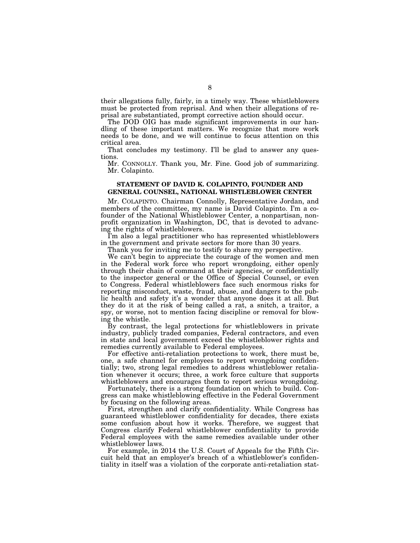their allegations fully, fairly, in a timely way. These whistleblowers must be protected from reprisal. And when their allegations of reprisal are substantiated, prompt corrective action should occur.

The DOD OIG has made significant improvements in our handling of these important matters. We recognize that more work needs to be done, and we will continue to focus attention on this critical area.

That concludes my testimony. I'll be glad to answer any questions.

Mr. CONNOLLY. Thank you, Mr. Fine. Good job of summarizing. Mr. Colapinto.

### **STATEMENT OF DAVID K. COLAPINTO, FOUNDER AND GENERAL COUNSEL, NATIONAL WHISTLEBLOWER CENTER**

Mr. COLAPINTO. Chairman Connolly, Representative Jordan, and members of the committee, my name is David Colapinto. I'm a cofounder of the National Whistleblower Center, a nonpartisan, nonprofit organization in Washington, DC, that is devoted to advancing the rights of whistleblowers.

I'm also a legal practitioner who has represented whistleblowers in the government and private sectors for more than 30 years.

Thank you for inviting me to testify to share my perspective.

We can't begin to appreciate the courage of the women and men in the Federal work force who report wrongdoing, either openly through their chain of command at their agencies, or confidentially to the inspector general or the Office of Special Counsel, or even to Congress. Federal whistleblowers face such enormous risks for reporting misconduct, waste, fraud, abuse, and dangers to the public health and safety it's a wonder that anyone does it at all. But they do it at the risk of being called a rat, a snitch, a traitor, a spy, or worse, not to mention facing discipline or removal for blowing the whistle.

By contrast, the legal protections for whistleblowers in private industry, publicly traded companies, Federal contractors, and even in state and local government exceed the whistleblower rights and remedies currently available to Federal employees.

For effective anti-retaliation protections to work, there must be, one, a safe channel for employees to report wrongdoing confidentially; two, strong legal remedies to address whistleblower retaliation whenever it occurs; three, a work force culture that supports whistleblowers and encourages them to report serious wrongdoing.

Fortunately, there is a strong foundation on which to build. Congress can make whistleblowing effective in the Federal Government by focusing on the following areas.

First, strengthen and clarify confidentiality. While Congress has guaranteed whistleblower confidentiality for decades, there exists some confusion about how it works. Therefore, we suggest that Congress clarify Federal whistleblower confidentiality to provide Federal employees with the same remedies available under other whistleblower laws.

For example, in 2014 the U.S. Court of Appeals for the Fifth Circuit held that an employer's breach of a whistleblower's confidentiality in itself was a violation of the corporate anti-retaliation stat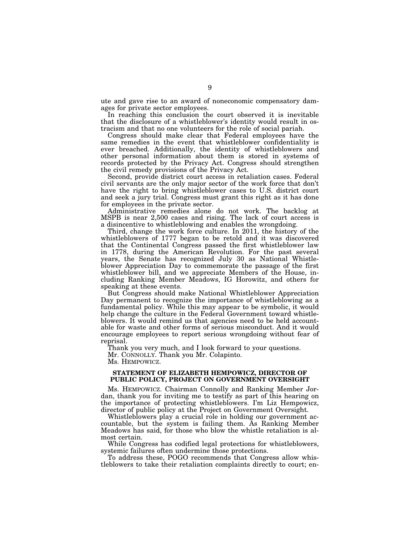ute and gave rise to an award of noneconomic compensatory damages for private sector employees.

In reaching this conclusion the court observed it is inevitable that the disclosure of a whistleblower's identity would result in ostracism and that no one volunteers for the role of social pariah.

Congress should make clear that Federal employees have the same remedies in the event that whistleblower confidentiality is ever breached. Additionally, the identity of whistleblowers and other personal information about them is stored in systems of records protected by the Privacy Act. Congress should strengthen the civil remedy provisions of the Privacy Act.

Second, provide district court access in retaliation cases. Federal civil servants are the only major sector of the work force that don't have the right to bring whistleblower cases to U.S. district court and seek a jury trial. Congress must grant this right as it has done for employees in the private sector.

Administrative remedies alone do not work. The backlog at MSPB is near 2,500 cases and rising. The lack of court access is a disincentive to whistleblowing and enables the wrongdoing.

Third, change the work force culture. In 2011, the history of the whistleblowers of 1777 began to be retold and it was discovered that the Continental Congress passed the first whistleblower law in 1778, during the American Revolution. For the past several years, the Senate has recognized July 30 as National Whistleblower Appreciation Day to commemorate the passage of the first whistleblower bill, and we appreciate Members of the House, including Ranking Member Meadows, IG Horowitz, and others for speaking at these events.

But Congress should make National Whistleblower Appreciation Day permanent to recognize the importance of whistleblowing as a fundamental policy. While this may appear to be symbolic, it would help change the culture in the Federal Government toward whistleblowers. It would remind us that agencies need to be held accountable for waste and other forms of serious misconduct. And it would encourage employees to report serious wrongdoing without fear of reprisal.

Thank you very much, and I look forward to your questions. Mr. CONNOLLY. Thank you Mr. Colapinto.

Ms. HEMPOWICZ.

### **STATEMENT OF ELIZABETH HEMPOWICZ, DIRECTOR OF PUBLIC POLICY, PROJECT ON GOVERNMENT OVERSIGHT**

Ms. HEMPOWICZ. Chairman Connolly and Ranking Member Jordan, thank you for inviting me to testify as part of this hearing on the importance of protecting whistleblowers. I'm Liz Hempowicz, director of public policy at the Project on Government Oversight.

Whistleblowers play a crucial role in holding our government accountable, but the system is failing them. As Ranking Member Meadows has said, for those who blow the whistle retaliation is almost certain.

While Congress has codified legal protections for whistleblowers, systemic failures often undermine those protections.

To address these, POGO recommends that Congress allow whistleblowers to take their retaliation complaints directly to court; en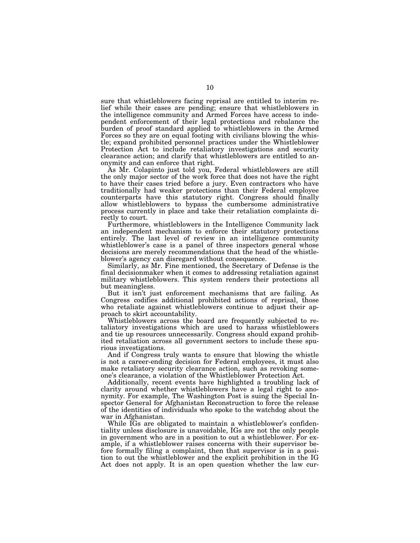sure that whistleblowers facing reprisal are entitled to interim relief while their cases are pending; ensure that whistleblowers in the intelligence community and Armed Forces have access to independent enforcement of their legal protections and rebalance the burden of proof standard applied to whistleblowers in the Armed Forces so they are on equal footing with civilians blowing the whistle; expand prohibited personnel practices under the Whistleblower Protection Act to include retaliatory investigations and security clearance action; and clarify that whistleblowers are entitled to anonymity and can enforce that right.

As Mr. Colapinto just told you, Federal whistleblowers are still the only major sector of the work force that does not have the right to have their cases tried before a jury. Even contractors who have traditionally had weaker protections than their Federal employee counterparts have this statutory right. Congress should finally allow whistleblowers to bypass the cumbersome administrative process currently in place and take their retaliation complaints directly to court.

Furthermore, whistleblowers in the Intelligence Community lack an independent mechanism to enforce their statutory protections entirely. The last level of review in an intelligence community whistleblower's case is a panel of three inspectors general whose decisions are merely recommendations that the head of the whistleblower's agency can disregard without consequence.

Similarly, as Mr. Fine mentioned, the Secretary of Defense is the final decisionmaker when it comes to addressing retaliation against military whistleblowers. This system renders their protections all but meaningless.

But it isn't just enforcement mechanisms that are failing. As Congress codifies additional prohibited actions of reprisal, those who retaliate against whistleblowers continue to adjust their approach to skirt accountability.

Whistleblowers across the board are frequently subjected to retaliatory investigations which are used to harass whistleblowers and tie up resources unnecessarily. Congress should expand prohibited retaliation across all government sectors to include these spurious investigations.

And if Congress truly wants to ensure that blowing the whistle is not a career-ending decision for Federal employees, it must also make retaliatory security clearance action, such as revoking someone's clearance, a violation of the Whistleblower Protection Act.

Additionally, recent events have highlighted a troubling lack of clarity around whether whistleblowers have a legal right to anonymity. For example, The Washington Post is suing the Special Inspector General for Afghanistan Reconstruction to force the release of the identities of individuals who spoke to the watchdog about the war in Afghanistan.

While IGs are obligated to maintain a whistleblower's confidentiality unless disclosure is unavoidable, IGs are not the only people in government who are in a position to out a whistleblower. For example, if a whistleblower raises concerns with their supervisor before formally filing a complaint, then that supervisor is in a position to out the whistleblower and the explicit prohibition in the IG Act does not apply. It is an open question whether the law cur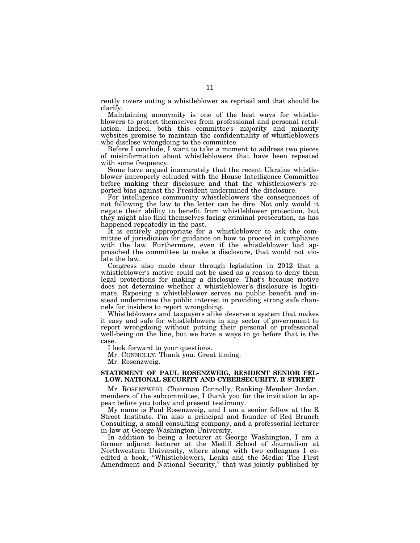rently covers outing a whistleblower as reprisal and that should be clarify.

Maintaining anonymity is one of the best ways for whistleblowers to protect themselves from professional and personal retaliation. Indeed, both this committee's majority and minority websites promise to maintain the confidentiality of whistleblowers who disclose wrongdoing to the committee.

Before I conclude, I want to take a moment to address two pieces of misinformation about whistleblowers that have been repeated with some frequency.

Some have argued inaccurately that the recent Ukraine whistleblower improperly colluded with the House Intelligence Committee before making their disclosure and that the whistleblower's reported bias against the President undermined the disclosure.

For intelligence community whistleblowers the consequences of not following the law to the letter can be dire. Not only would it negate their ability to benefit from whistleblower protection, but they might also find themselves facing criminal prosecution, as has happened repeatedly in the past.

It is entirely appropriate for a whistleblower to ask the committee of jurisdiction for guidance on how to proceed in compliance with the law. Furthermore, even if the whistleblower had approached the committee to make a disclosure, that would not violate the law.

Congress also made clear through legislation in 2012 that a whistleblower's motive could not be used as a reason to deny them legal protections for making a disclosure. That's because motive does not determine whether a whistleblower's disclosure is legitimate. Exposing a whistleblower serves no public benefit and instead undermines the public interest in providing strong safe channels for insiders to report wrongdoing.

Whistleblowers and taxpayers alike deserve a system that makes it easy and safe for whistleblowers in any sector of government to report wrongdoing without putting their personal or professional well-being on the line, but we have a ways to go before that is the case.

I look forward to your questions.

Mr. CONNOLLY. Thank you. Great timing.

Mr. Rosenzweig.

### **STATEMENT OF PAUL ROSENZWEIG, RESIDENT SENIOR FEL-LOW, NATIONAL SECURITY AND CYBERSECURITY, R STREET**

Mr. ROSENZWEIG. Chairman Connolly, Ranking Member Jordan, members of the subcommittee, I thank you for the invitation to appear before you today and present testimony.

My name is Paul Rosenzweig, and I am a senior fellow at the R Street Institute. I'm also a principal and founder of Red Branch Consulting, a small consulting company, and a professorial lecturer in law at George Washington University.

In addition to being a lecturer at George Washington, I am a former adjunct lecturer at the Medill School of Journalism at Northwestern University, where along with two colleagues I coedited a book, ''Whistleblowers, Leaks and the Media: The First Amendment and National Security,'' that was jointly published by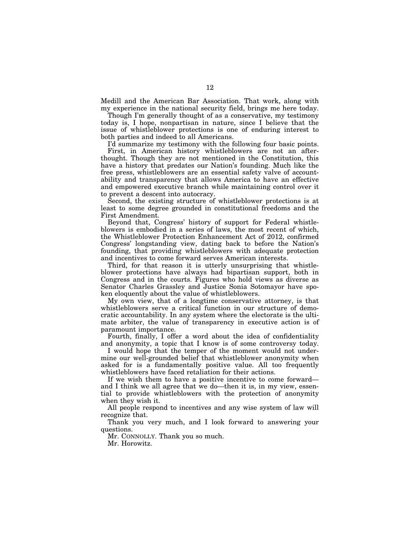Medill and the American Bar Association. That work, along with my experience in the national security field, brings me here today.

Though I'm generally thought of as a conservative, my testimony today is, I hope, nonpartisan in nature, since I believe that the issue of whistleblower protections is one of enduring interest to both parties and indeed to all Americans.

I'd summarize my testimony with the following four basic points.

First, in American history whistleblowers are not an afterthought. Though they are not mentioned in the Constitution, this have a history that predates our Nation's founding. Much like the free press, whistleblowers are an essential safety valve of accountability and transparency that allows America to have an effective and empowered executive branch while maintaining control over it to prevent a descent into autocracy.

Second, the existing structure of whistleblower protections is at least to some degree grounded in constitutional freedoms and the First Amendment.

Beyond that, Congress' history of support for Federal whistleblowers is embodied in a series of laws, the most recent of which, the Whistleblower Protection Enhancement Act of 2012, confirmed Congress' longstanding view, dating back to before the Nation's founding, that providing whistleblowers with adequate protection and incentives to come forward serves American interests.

Third, for that reason it is utterly unsurprising that whistleblower protections have always had bipartisan support, both in Congress and in the courts. Figures who hold views as diverse as Senator Charles Grassley and Justice Sonia Sotomayor have spoken eloquently about the value of whistleblowers.

My own view, that of a longtime conservative attorney, is that whistleblowers serve a critical function in our structure of democratic accountability. In any system where the electorate is the ultimate arbiter, the value of transparency in executive action is of paramount importance.

Fourth, finally, I offer a word about the idea of confidentiality and anonymity, a topic that I know is of some controversy today.

I would hope that the temper of the moment would not undermine our well-grounded belief that whistleblower anonymity when asked for is a fundamentally positive value. All too frequently whistleblowers have faced retaliation for their actions.

If we wish them to have a positive incentive to come forward and I think we all agree that we do—then it is, in my view, essential to provide whistleblowers with the protection of anonymity when they wish it.

All people respond to incentives and any wise system of law will recognize that.

Thank you very much, and I look forward to answering your questions.

Mr. CONNOLLY. Thank you so much.

Mr. Horowitz.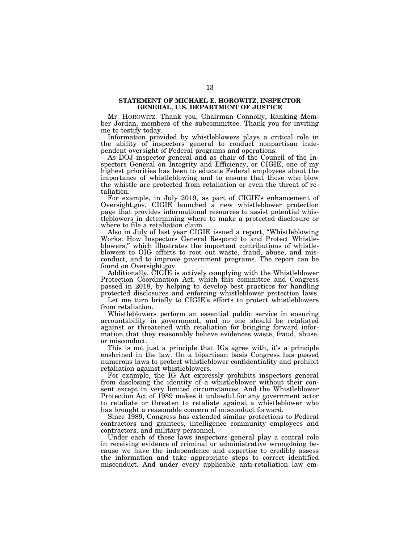#### **STATEMENT OF MICHAEL E. HOROWITZ, INSPECTOR GENERAL, U.S. DEPARTMENT OF JUSTICE**

Mr. HOROWITZ. Thank you, Chairman Connolly, Ranking Member Jordan, members of the subcommittee. Thank you for inviting me to testify today.

Information provided by whistleblowers plays a critical role in the ability of inspectors general to conduct nonpartisan independent oversight of Federal programs and operations.

As DOJ inspector general and as chair of the Council of the Inspectors General on Integrity and Efficiency, or CIGIE, one of my highest priorities has been to educate Federal employees about the importance of whistleblowing and to ensure that those who blow the whistle are protected from retaliation or even the threat of retaliation.

For example, in July 2019, as part of CIGIE's enhancement of Oversight.gov, CIGIE launched a new whistleblower protection page that provides informational resources to assist potential whistleblowers in determining where to make a protected disclosure or where to file a retaliation claim.

Also in July of last year CIGIE issued a report, ''Whistleblowing Works: How Inspectors General Respond to and Protect Whistleblowers,'' which illustrates the important contributions of whistleblowers to OIG efforts to root out waste, fraud, abuse, and misconduct, and to improve government programs. The report can be found on Oversight.gov.

Additionally, CIGIE is actively complying with the Whistleblower Protection Coordination Act, which this committee and Congress passed in 2018, by helping to develop best practices for handling protected disclosures and enforcing whistleblower protection laws.

Let me turn briefly to CIGIE's efforts to protect whistleblowers from retaliation.

Whistleblowers perform an essential public service in ensuring accountability in government, and no one should be retaliated against or threatened with retaliation for bringing forward information that they reasonably believe evidences waste, fraud, abuse, or misconduct.

This is not just a principle that IGs agree with, it's a principle enshrined in the law. On a bipartisan basis Congress has passed numerous laws to protect whistleblower confidentiality and prohibit retaliation against whistleblowers.

For example, the IG Act expressly prohibits inspectors general from disclosing the identity of a whistleblower without their consent except in very limited circumstances. And the Whistleblower Protection Act of 1989 makes it unlawful for any government actor to retaliate or threaten to retaliate against a whistleblower who has brought a reasonable concern of misconduct forward.

Since 1989, Congress has extended similar protections to Federal contractors and grantees, intelligence community employees and contractors, and military personnel.

Under each of these laws inspectors general play a central role in receiving evidence of criminal or administrative wrongdoing because we have the independence and expertise to credibly assess the information and take appropriate steps to correct identified misconduct. And under every applicable anti-retaliation law em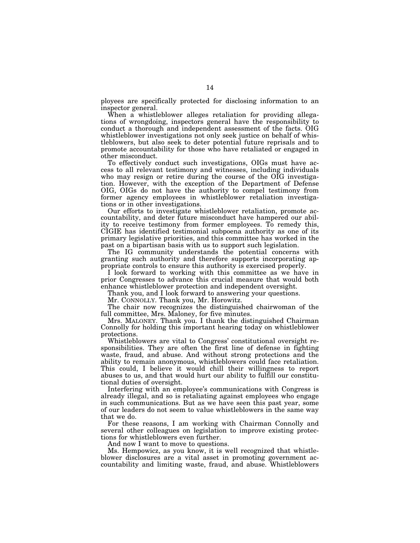ployees are specifically protected for disclosing information to an inspector general.

When a whistleblower alleges retaliation for providing allegations of wrongdoing, inspectors general have the responsibility to conduct a thorough and independent assessment of the facts. OIG whistleblower investigations not only seek justice on behalf of whistleblowers, but also seek to deter potential future reprisals and to promote accountability for those who have retaliated or engaged in other misconduct.

To effectively conduct such investigations, OIGs must have access to all relevant testimony and witnesses, including individuals who may resign or retire during the course of the OIG investigation. However, with the exception of the Department of Defense OIG, OIGs do not have the authority to compel testimony from former agency employees in whistleblower retaliation investigations or in other investigations.

Our efforts to investigate whistleblower retaliation, promote accountability, and deter future misconduct have hampered our ability to receive testimony from former employees. To remedy this, CIGIE has identified testimonial subpoena authority as one of its primary legislative priorities, and this committee has worked in the past on a bipartisan basis with us to support such legislation.

The IG community understands the potential concerns with granting such authority and therefore supports incorporating appropriate controls to ensure this authority is exercised properly.

I look forward to working with this committee as we have in prior Congresses to advance this crucial measure that would both enhance whistleblower protection and independent oversight.

Thank you, and I look forward to answering your questions.

Mr. CONNOLLY. Thank you, Mr. Horowitz.

The chair now recognizes the distinguished chairwoman of the full committee, Mrs. Maloney, for five minutes.

Mrs. MALONEY. Thank you. I thank the distinguished Chairman Connolly for holding this important hearing today on whistleblower protections.

Whistleblowers are vital to Congress' constitutional oversight responsibilities. They are often the first line of defense in fighting waste, fraud, and abuse. And without strong protections and the ability to remain anonymous, whistleblowers could face retaliation. This could, I believe it would chill their willingness to report abuses to us, and that would hurt our ability to fulfill our constitutional duties of oversight.

Interfering with an employee's communications with Congress is already illegal, and so is retaliating against employees who engage in such communications. But as we have seen this past year, some of our leaders do not seem to value whistleblowers in the same way that we do.

For these reasons, I am working with Chairman Connolly and several other colleagues on legislation to improve existing protections for whistleblowers even further.

And now I want to move to questions.

Ms. Hempowicz, as you know, it is well recognized that whistleblower disclosures are a vital asset in promoting government accountability and limiting waste, fraud, and abuse. Whistleblowers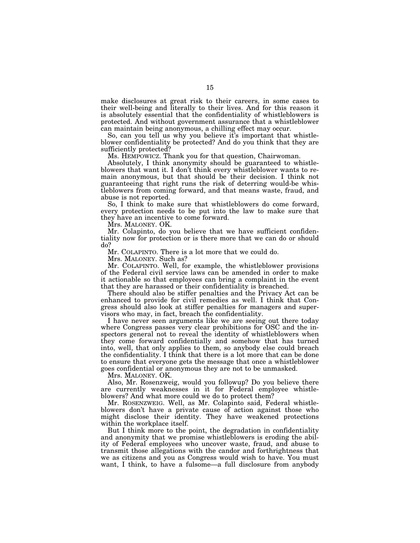make disclosures at great risk to their careers, in some cases to their well-being and literally to their lives. And for this reason it is absolutely essential that the confidentiality of whistleblowers is protected. And without government assurance that a whistleblower can maintain being anonymous, a chilling effect may occur.

So, can you tell us why you believe it's important that whistleblower confidentiality be protected? And do you think that they are sufficiently protected?

Ms. HEMPOWICZ. Thank you for that question, Chairwoman.

Absolutely, I think anonymity should be guaranteed to whistleblowers that want it. I don't think every whistleblower wants to remain anonymous, but that should be their decision. I think not guaranteeing that right runs the risk of deterring would-be whistleblowers from coming forward, and that means waste, fraud, and abuse is not reported.

So, I think to make sure that whistleblowers do come forward, every protection needs to be put into the law to make sure that they have an incentive to come forward.

Mrs. MALONEY. OK.

Mr. Colapinto, do you believe that we have sufficient confidentiality now for protection or is there more that we can do or should do?

Mr. COLAPINTO. There is a lot more that we could do.

Mrs. MALONEY. Such as?

Mr. COLAPINTO. Well, for example, the whistleblower provisions of the Federal civil service laws can be amended in order to make it actionable so that employees can bring a complaint in the event that they are harassed or their confidentiality is breached.

There should also be stiffer penalties and the Privacy Act can be enhanced to provide for civil remedies as well. I think that Congress should also look at stiffer penalties for managers and supervisors who may, in fact, breach the confidentiality.

I have never seen arguments like we are seeing out there today where Congress passes very clear prohibitions for OSC and the inspectors general not to reveal the identity of whistleblowers when they come forward confidentially and somehow that has turned into, well, that only applies to them, so anybody else could breach the confidentiality. I think that there is a lot more that can be done to ensure that everyone gets the message that once a whistleblower goes confidential or anonymous they are not to be unmasked.

Mrs. MALONEY. OK.

Also, Mr. Rosenzweig, would you followup? Do you believe there are currently weaknesses in it for Federal employee whistleblowers? And what more could we do to protect them?

Mr. ROSENZWEIG. Well, as Mr. Colapinto said, Federal whistleblowers don't have a private cause of action against those who might disclose their identity. They have weakened protections within the workplace itself.

But I think more to the point, the degradation in confidentiality and anonymity that we promise whistleblowers is eroding the ability of Federal employees who uncover waste, fraud, and abuse to transmit those allegations with the candor and forthrightness that we as citizens and you as Congress would wish to have. You must want, I think, to have a fulsome—a full disclosure from anybody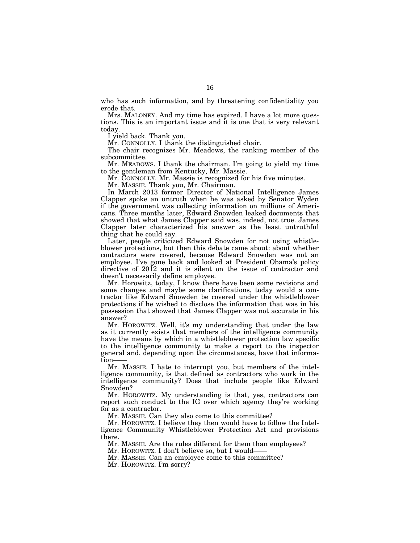who has such information, and by threatening confidentiality you erode that.

Mrs. MALONEY. And my time has expired. I have a lot more questions. This is an important issue and it is one that is very relevant today.

I yield back. Thank you.

Mr. CONNOLLY. I thank the distinguished chair.

The chair recognizes Mr. Meadows, the ranking member of the subcommittee.

Mr. MEADOWS. I thank the chairman. I'm going to yield my time to the gentleman from Kentucky, Mr. Massie.

Mr. CONNOLLY. Mr. Massie is recognized for his five minutes.

Mr. MASSIE. Thank you, Mr. Chairman.

In March 2013 former Director of National Intelligence James Clapper spoke an untruth when he was asked by Senator Wyden if the government was collecting information on millions of Americans. Three months later, Edward Snowden leaked documents that showed that what James Clapper said was, indeed, not true. James Clapper later characterized his answer as the least untruthful thing that he could say.

Later, people criticized Edward Snowden for not using whistleblower protections, but then this debate came about: about whether contractors were covered, because Edward Snowden was not an employee. I've gone back and looked at President Obama's policy directive of 2012 and it is silent on the issue of contractor and doesn't necessarily define employee.

Mr. Horowitz, today, I know there have been some revisions and some changes and maybe some clarifications, today would a contractor like Edward Snowden be covered under the whistleblower protections if he wished to disclose the information that was in his possession that showed that James Clapper was not accurate in his answer?

Mr. HOROWITZ. Well, it's my understanding that under the law as it currently exists that members of the intelligence community have the means by which in a whistleblower protection law specific to the intelligence community to make a report to the inspector general and, depending upon the circumstances, have that information-

Mr. MASSIE. I hate to interrupt you, but members of the intelligence community, is that defined as contractors who work in the intelligence community? Does that include people like Edward Snowden?

Mr. HOROWITZ. My understanding is that, yes, contractors can report such conduct to the IG over which agency they're working for as a contractor.

Mr. MASSIE. Can they also come to this committee?

Mr. HOROWITZ. I believe they then would have to follow the Intelligence Community Whistleblower Protection Act and provisions there.

Mr. MASSIE. Are the rules different for them than employees?

Mr. HOROWITZ. I don't believe so, but I would-

Mr. MASSIE. Can an employee come to this committee? Mr. HOROWITZ. I'm sorry?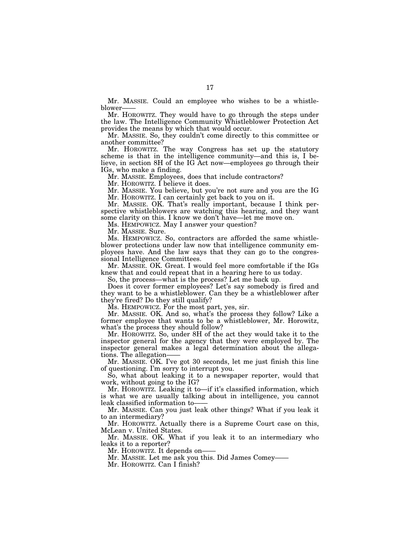Mr. MASSIE. Could an employee who wishes to be a whistleblower-

Mr. HOROWITZ. They would have to go through the steps under the law. The Intelligence Community Whistleblower Protection Act provides the means by which that would occur.

Mr. MASSIE. So, they couldn't come directly to this committee or another committee?

Mr. HOROWITZ. The way Congress has set up the statutory scheme is that in the intelligence community—and this is, I believe, in section 8H of the IG Act now—employees go through their IGs, who make a finding.

Mr. MASSIE. Employees, does that include contractors?

Mr. HOROWITZ. I believe it does.

Mr. MASSIE. You believe, but you're not sure and you are the IG Mr. HOROWITZ. I can certainly get back to you on it.

Mr. MASSIE. OK. That's really important, because I think perspective whistleblowers are watching this hearing, and they want some clarity on this. I know we don't have—let me move on.

Ms. HEMPOWICZ. May I answer your question?

Mr. MASSIE. Sure.

Ms. HEMPOWICZ. So, contractors are afforded the same whistleblower protections under law now that intelligence community employees have. And the law says that they can go to the congressional Intelligence Committees.

Mr. MASSIE. OK. Great. I would feel more comfortable if the IGs knew that and could repeat that in a hearing here to us today.

So, the process—what is the process? Let me back up.

Does it cover former employees? Let's say somebody is fired and they want to be a whistleblower. Can they be a whistleblower after they're fired? Do they still qualify?

Ms. HEMPOWICZ. For the most part, yes, sir.

Mr. MASSIE. OK. And so, what's the process they follow? Like a former employee that wants to be a whistleblower, Mr. Horowitz, what's the process they should follow?

Mr. HOROWITZ. So, under 8H of the act they would take it to the inspector general for the agency that they were employed by. The inspector general makes a legal determination about the allegations. The allegation-

Mr. MASSIE. OK. I've got 30 seconds, let me just finish this line of questioning. I'm sorry to interrupt you.

So, what about leaking it to a newspaper reporter, would that work, without going to the IG?

Mr. HOROWITZ. Leaking it to—if it's classified information, which is what we are usually talking about in intelligence, you cannot leak classified information to——

Mr. MASSIE. Can you just leak other things? What if you leak it to an intermediary?

Mr. HOROWITZ. Actually there is a Supreme Court case on this, McLean v. United States.

Mr. MASSIE. OK. What if you leak it to an intermediary who leaks it to a reporter?

Mr. HOROWITZ. It depends on-

Mr. MASSIE. Let me ask you this. Did James Comey——

Mr. HOROWITZ. Can I finish?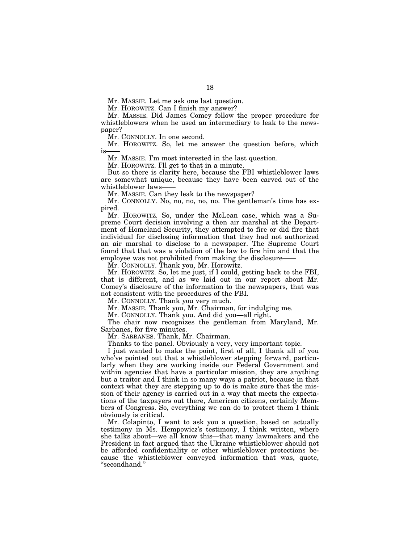Mr. MASSIE. Let me ask one last question.

Mr. HOROWITZ. Can I finish my answer?

Mr. MASSIE. Did James Comey follow the proper procedure for whistleblowers when he used an intermediary to leak to the newspaper?

Mr. CONNOLLY. In one second.

Mr. HOROWITZ. So, let me answer the question before, which  $i$ s

Mr. MASSIE. I'm most interested in the last question.

Mr. HOROWITZ. I'll get to that in a minute.

But so there is clarity here, because the FBI whistleblower laws are somewhat unique, because they have been carved out of the whistleblower laws-

Mr. MASSIE. Can they leak to the newspaper?

Mr. CONNOLLY. No, no, no, no, no. The gentleman's time has expired.

Mr. HOROWITZ. So, under the McLean case, which was a Supreme Court decision involving a then air marshal at the Department of Homeland Security, they attempted to fire or did fire that individual for disclosing information that they had not authorized an air marshal to disclose to a newspaper. The Supreme Court found that that was a violation of the law to fire him and that the employee was not prohibited from making the disclosure-

Mr. CONNOLLY. Thank you, Mr. Horowitz.

Mr. HOROWITZ. So, let me just, if I could, getting back to the FBI, that is different, and as we laid out in our report about Mr. Comey's disclosure of the information to the newspapers, that was not consistent with the procedures of the FBI.

Mr. CONNOLLY. Thank you very much.

Mr. MASSIE. Thank you, Mr. Chairman, for indulging me.

Mr. CONNOLLY. Thank you. And did you—all right.

The chair now recognizes the gentleman from Maryland, Mr. Sarbanes, for five minutes.

Mr. SARBANES. Thank, Mr. Chairman.

Thanks to the panel. Obviously a very, very important topic.

I just wanted to make the point, first of all, I thank all of you who've pointed out that a whistleblower stepping forward, particularly when they are working inside our Federal Government and within agencies that have a particular mission, they are anything but a traitor and I think in so many ways a patriot, because in that context what they are stepping up to do is make sure that the mission of their agency is carried out in a way that meets the expectations of the taxpayers out there, American citizens, certainly Members of Congress. So, everything we can do to protect them I think obviously is critical.

Mr. Colapinto, I want to ask you a question, based on actually testimony in Ms. Hempowicz's testimony, I think written, where she talks about—we all know this—that many lawmakers and the President in fact argued that the Ukraine whistleblower should not be afforded confidentiality or other whistleblower protections because the whistleblower conveyed information that was, quote, ''secondhand.''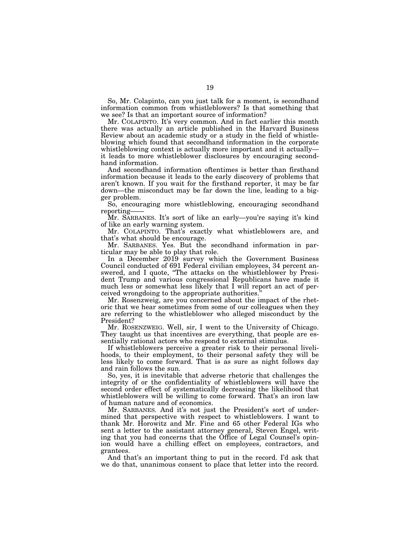So, Mr. Colapinto, can you just talk for a moment, is secondhand information common from whistleblowers? Is that something that we see? Is that an important source of information?

Mr. COLAPINTO. It's very common. And in fact earlier this month there was actually an article published in the Harvard Business Review about an academic study or a study in the field of whistleblowing which found that secondhand information in the corporate whistleblowing context is actually more important and it actually it leads to more whistleblower disclosures by encouraging secondhand information.

And secondhand information oftentimes is better than firsthand information because it leads to the early discovery of problems that aren't known. If you wait for the firsthand reporter, it may be far down—the misconduct may be far down the line, leading to a bigger problem.

So, encouraging more whistleblowing, encouraging secondhand reporting——

Mr. SARBANES. It's sort of like an early—you're saying it's kind of like an early warning system.

Mr. COLAPINTO. That's exactly what whistleblowers are, and that's what should be encourage.

Mr. SARBANES. Yes. But the secondhand information in particular may be able to play that role.

In a December 2019 survey which the Government Business Council conducted of 691 Federal civilian employees, 34 percent answered, and I quote, "The attacks on the whistleblower by President Trump and various congressional Republicans have made it much less or somewhat less likely that I will report an act of perceived wrongdoing to the appropriate authorities.''

Mr. Rosenzweig, are you concerned about the impact of the rhetoric that we hear sometimes from some of our colleagues when they are referring to the whistleblower who alleged misconduct by the President?

Mr. ROSENZWEIG. Well, sir, I went to the University of Chicago. They taught us that incentives are everything, that people are essentially rational actors who respond to external stimulus.

If whistleblowers perceive a greater risk to their personal livelihoods, to their employment, to their personal safety they will be less likely to come forward. That is as sure as night follows day and rain follows the sun.

So, yes, it is inevitable that adverse rhetoric that challenges the integrity of or the confidentiality of whistleblowers will have the second order effect of systematically decreasing the likelihood that whistleblowers will be willing to come forward. That's an iron law of human nature and of economics.

Mr. SARBANES. And it's not just the President's sort of undermined that perspective with respect to whistleblowers. I want to thank Mr. Horowitz and Mr. Fine and 65 other Federal IGs who sent a letter to the assistant attorney general, Steven Engel, writing that you had concerns that the Office of Legal Counsel's opinion would have a chilling effect on employees, contractors, and grantees.

And that's an important thing to put in the record. I'd ask that we do that, unanimous consent to place that letter into the record.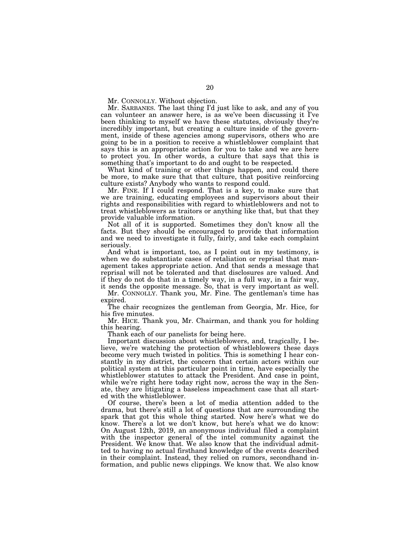Mr. CONNOLLY. Without objection.

Mr. SARBANES. The last thing I'd just like to ask, and any of you can volunteer an answer here, is as we've been discussing it I've been thinking to myself we have these statutes, obviously they're incredibly important, but creating a culture inside of the government, inside of these agencies among supervisors, others who are going to be in a position to receive a whistleblower complaint that says this is an appropriate action for you to take and we are here to protect you. In other words, a culture that says that this is something that's important to do and ought to be respected.

What kind of training or other things happen, and could there be more, to make sure that that culture, that positive reinforcing culture exists? Anybody who wants to respond could.

Mr. FINE. If I could respond. That is a key, to make sure that we are training, educating employees and supervisors about their rights and responsibilities with regard to whistleblowers and not to treat whistleblowers as traitors or anything like that, but that they provide valuable information.

Not all of it is supported. Sometimes they don't know all the facts. But they should be encouraged to provide that information and we need to investigate it fully, fairly, and take each complaint seriously.

And what is important, too, as I point out in my testimony, is when we do substantiate cases of retaliation or reprisal that management takes appropriate action. And that sends a message that reprisal will not be tolerated and that disclosures are valued. And if they do not do that in a timely way, in a full way, in a fair way, it sends the opposite message. So, that is very important as well.

Mr. CONNOLLY. Thank you, Mr. Fine. The gentleman's time has expired.

The chair recognizes the gentleman from Georgia, Mr. Hice, for his five minutes.

Mr. HICE. Thank you, Mr. Chairman, and thank you for holding this hearing.

Thank each of our panelists for being here.

Important discussion about whistleblowers, and, tragically, I believe, we're watching the protection of whistleblowers these days become very much twisted in politics. This is something I hear constantly in my district, the concern that certain actors within our political system at this particular point in time, have especially the whistleblower statutes to attack the President. And case in point, while we're right here today right now, across the way in the Senate, they are litigating a baseless impeachment case that all started with the whistleblower.

Of course, there's been a lot of media attention added to the drama, but there's still a lot of questions that are surrounding the spark that got this whole thing started. Now here's what we do know. There's a lot we don't know, but here's what we do know: On August 12th, 2019, an anonymous individual filed a complaint with the inspector general of the intel community against the President. We know that. We also know that the individual admitted to having no actual firsthand knowledge of the events described in their complaint. Instead, they relied on rumors, secondhand information, and public news clippings. We know that. We also know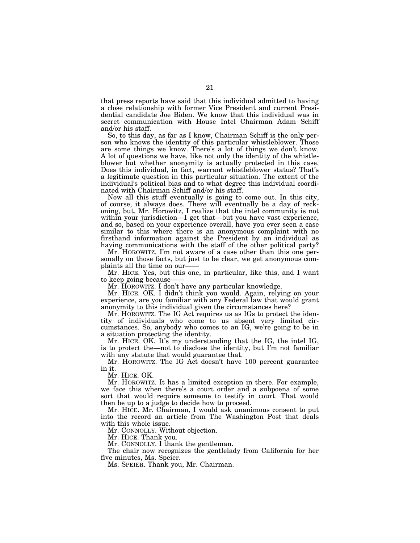that press reports have said that this individual admitted to having a close relationship with former Vice President and current Presidential candidate Joe Biden. We know that this individual was in secret communication with House Intel Chairman Adam Schiff and/or his staff.

So, to this day, as far as I know, Chairman Schiff is the only person who knows the identity of this particular whistleblower. Those are some things we know. There's a lot of things we don't know. A lot of questions we have, like not only the identity of the whistleblower but whether anonymity is actually protected in this case. Does this individual, in fact, warrant whistleblower status? That's a legitimate question in this particular situation. The extent of the individual's political bias and to what degree this individual coordinated with Chairman Schiff and/or his staff.

Now all this stuff eventually is going to come out. In this city, of course, it always does. There will eventually be a day of reckoning, but, Mr. Horowitz, I realize that the intel community is not within your jurisdiction—I get that—but you have vast experience, and so, based on your experience overall, have you ever seen a case similar to this where there is an anonymous complaint with no firsthand information against the President by an individual as having communications with the staff of the other political party?

Mr. HOROWITZ. I'm not aware of a case other than this one personally on those facts, but just to be clear, we get anonymous complaints all the time on our-

Mr. HICE. Yes, but this one, in particular, like this, and I want to keep going because-

Mr. HOROWITZ. I don't have any particular knowledge.

Mr. HICE. OK. I didn't think you would. Again, relying on your experience, are you familiar with any Federal law that would grant anonymity to this individual given the circumstances here?

Mr. HOROWITZ. The IG Act requires us as IGs to protect the identity of individuals who come to us absent very limited circumstances. So, anybody who comes to an IG, we're going to be in a situation protecting the identity.

Mr. HICE. OK. It's my understanding that the IG, the intel IG, is to protect the—not to disclose the identity, but I'm not familiar with any statute that would guarantee that.

Mr. HOROWITZ. The IG Act doesn't have 100 percent guarantee in it.

Mr. HICE. OK.

Mr. HOROWITZ. It has a limited exception in there. For example, we face this when there's a court order and a subpoena of some sort that would require someone to testify in court. That would then be up to a judge to decide how to proceed.

Mr. HICE. Mr. Chairman, I would ask unanimous consent to put into the record an article from The Washington Post that deals with this whole issue.

Mr. CONNOLLY. Without objection.

Mr. HICE. Thank you.

Mr. CONNOLLY. I thank the gentleman.

The chair now recognizes the gentlelady from California for her five minutes, Ms. Speier.

Ms. SPEIER. Thank you, Mr. Chairman.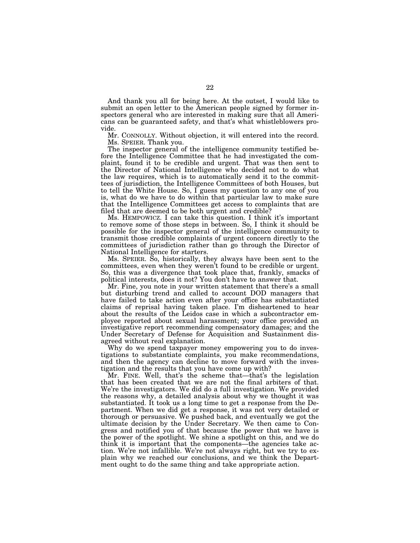And thank you all for being here. At the outset, I would like to submit an open letter to the American people signed by former inspectors general who are interested in making sure that all Americans can be guaranteed safety, and that's what whistleblowers provide.

Mr. CONNOLLY. Without objection, it will entered into the record. Ms. SPEIER. Thank you.

The inspector general of the intelligence community testified before the Intelligence Committee that he had investigated the complaint, found it to be credible and urgent. That was then sent to the Director of National Intelligence who decided not to do what the law requires, which is to automatically send it to the committees of jurisdiction, the Intelligence Committees of both Houses, but to tell the White House. So, I guess my question to any one of you is, what do we have to do within that particular law to make sure that the Intelligence Committees get access to complaints that are filed that are deemed to be both urgent and credible?

Ms. HEMPOWICZ. I can take this question. I think it's important to remove some of those steps in between. So, I think it should be possible for the inspector general of the intelligence community to transmit those credible complaints of urgent concern directly to the committees of jurisdiction rather than go through the Director of National Intelligence for starters.

Ms. SPEIER. So, historically, they always have been sent to the committees, even when they weren't found to be credible or urgent. So, this was a divergence that took place that, frankly, smacks of political interests, does it not? You don't have to answer that.

Mr. Fine, you note in your written statement that there's a small but disturbing trend and called to account DOD managers that have failed to take action even after your office has substantiated claims of reprisal having taken place. I'm disheartened to hear about the results of the Leidos case in which a subcontractor employee reported about sexual harassment; your office provided an investigative report recommending compensatory damages; and the Under Secretary of Defense for Acquisition and Sustainment disagreed without real explanation.

Why do we spend taxpayer money empowering you to do investigations to substantiate complaints, you make recommendations, and then the agency can decline to move forward with the investigation and the results that you have come up with?

Mr. FINE. Well, that's the scheme that—that's the legislation that has been created that we are not the final arbiters of that. We're the investigators. We did do a full investigation. We provided the reasons why, a detailed analysis about why we thought it was substantiated. It took us a long time to get a response from the Department. When we did get a response, it was not very detailed or thorough or persuasive. We pushed back, and eventually we got the ultimate decision by the Under Secretary. We then came to Congress and notified you of that because the power that we have is the power of the spotlight. We shine a spotlight on this, and we do think it is important that the components—the agencies take action. We're not infallible. We're not always right, but we try to explain why we reached our conclusions, and we think the Department ought to do the same thing and take appropriate action.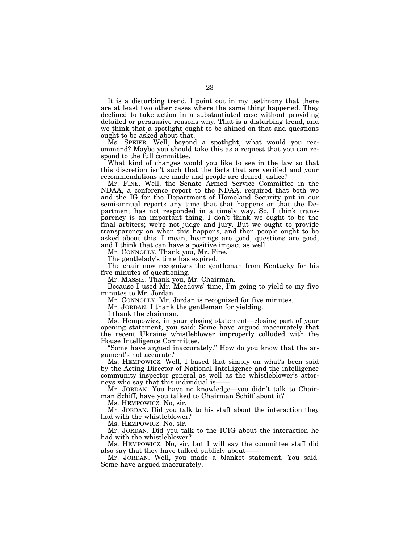It is a disturbing trend. I point out in my testimony that there are at least two other cases where the same thing happened. They declined to take action in a substantiated case without providing detailed or persuasive reasons why. That is a disturbing trend, and we think that a spotlight ought to be shined on that and questions ought to be asked about that.

Ms. SPEIER. Well, beyond a spotlight, what would you recommend? Maybe you should take this as a request that you can respond to the full committee.

What kind of changes would you like to see in the law so that this discretion isn't such that the facts that are verified and your recommendations are made and people are denied justice?

Mr. FINE. Well, the Senate Armed Service Committee in the NDAA, a conference report to the NDAA, required that both we and the IG for the Department of Homeland Security put in our semi-annual reports any time that that happens or that the Department has not responded in a timely way. So, I think transparency is an important thing. I don't think we ought to be the final arbiters; we're not judge and jury. But we ought to provide transparency on when this happens, and then people ought to be asked about this. I mean, hearings are good, questions are good, and I think that can have a positive impact as well.

Mr. CONNOLLY. Thank you, Mr. Fine.

The gentlelady's time has expired.

The chair now recognizes the gentleman from Kentucky for his five minutes of questioning.

Mr. MASSIE. Thank you, Mr. Chairman.

Because I used Mr. Meadows' time, I'm going to yield to my five minutes to Mr. Jordan.

Mr. CONNOLLY. Mr. Jordan is recognized for five minutes.

Mr. JORDAN. I thank the gentleman for yielding.

I thank the chairman.

Ms. Hempowicz, in your closing statement—closing part of your opening statement, you said: Some have argued inaccurately that the recent Ukraine whistleblower improperly colluded with the House Intelligence Committee.

''Some have argued inaccurately.'' How do you know that the argument's not accurate?

Ms. HEMPOWICZ. Well, I based that simply on what's been said by the Acting Director of National Intelligence and the intelligence community inspector general as well as the whistleblower's attorneys who say that this individual is

Mr. JORDAN. You have no knowledge—you didn't talk to Chairman Schiff, have you talked to Chairman Schiff about it?

Ms. HEMPOWICZ. No, sir.

Mr. JORDAN. Did you talk to his staff about the interaction they had with the whistleblower?

Ms. HEMPOWICZ. No, sir.

Mr. JORDAN. Did you talk to the ICIG about the interaction he had with the whistleblower?

Ms. HEMPOWICZ. No, sir, but I will say the committee staff did also say that they have talked publicly about-

Mr. JORDAN. Well, you made a blanket statement. You said: Some have argued inaccurately.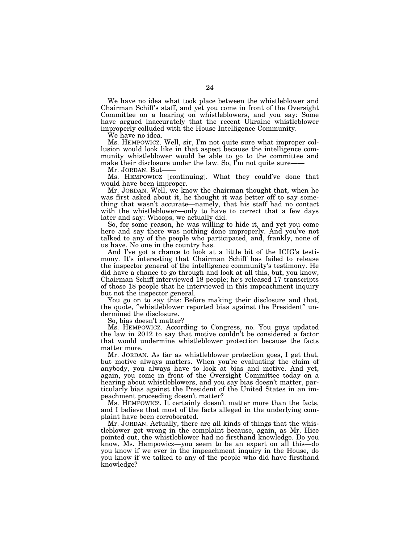We have no idea what took place between the whistleblower and Chairman Schiff's staff, and yet you come in front of the Oversight Committee on a hearing on whistleblowers, and you say: Some have argued inaccurately that the recent Ukraine whistleblower improperly colluded with the House Intelligence Community.

We have no idea.

Ms. HEMPOWICZ. Well, sir, I'm not quite sure what improper collusion would look like in that aspect because the intelligence community whistleblower would be able to go to the committee and make their disclosure under the law. So,  $\overline{\text{I}^{\text{m}}}$  not quite sure-

Mr. JORDAN. But-

Ms. HEMPOWICZ [continuing]. What they could've done that would have been improper.

Mr. JORDAN. Well, we know the chairman thought that, when he was first asked about it, he thought it was better off to say something that wasn't accurate—namely, that his staff had no contact with the whistleblower—only to have to correct that a few days later and say: Whoops, we actually did.

So, for some reason, he was willing to hide it, and yet you come here and say there was nothing done improperly. And you've not talked to any of the people who participated, and, frankly, none of us have. No one in the country has.

And I've got a chance to look at a little bit of the ICIG's testimony. It's interesting that Chairman Schiff has failed to release the inspector general of the intelligence community's testimony. He did have a chance to go through and look at all this, but, you know, Chairman Schiff interviewed 18 people; he's released 17 transcripts of those 18 people that he interviewed in this impeachment inquiry but not the inspector general.

You go on to say this: Before making their disclosure and that, the quote, ″whistleblower reported bias against the President″ undermined the disclosure.

So, bias doesn't matter?

Ms. HEMPOWICZ. According to Congress, no. You guys updated the law in 2012 to say that motive couldn't be considered a factor that would undermine whistleblower protection because the facts matter more.

Mr. JORDAN. As far as whistleblower protection goes, I get that, but motive always matters. When you're evaluating the claim of anybody, you always have to look at bias and motive. And yet, again, you come in front of the Oversight Committee today on a hearing about whistleblowers, and you say bias doesn't matter, particularly bias against the President of the United States in an impeachment proceeding doesn't matter?

Ms. HEMPOWICZ. It certainly doesn't matter more than the facts, and I believe that most of the facts alleged in the underlying complaint have been corroborated.

Mr. JORDAN. Actually, there are all kinds of things that the whistleblower got wrong in the complaint because, again, as Mr. Hice pointed out, the whistleblower had no firsthand knowledge. Do you know, Ms. Hempowicz—you seem to be an expert on all this—do you know if we ever in the impeachment inquiry in the House, do you know if we talked to any of the people who did have firsthand knowledge?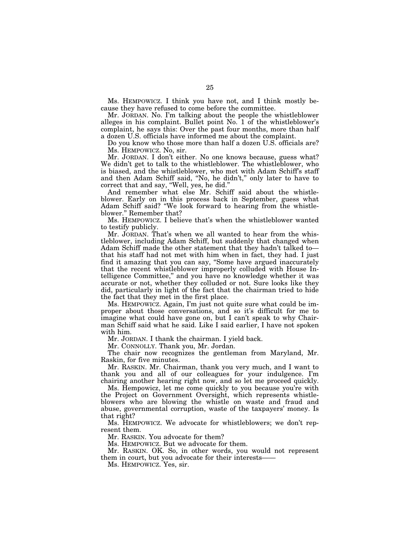Ms. HEMPOWICZ. I think you have not, and I think mostly because they have refused to come before the committee.

Mr. JORDAN. No. I'm talking about the people the whistleblower alleges in his complaint. Bullet point No. 1 of the whistleblower's complaint, he says this: Over the past four months, more than half a dozen U.S. officials have informed me about the complaint.

Do you know who those more than half a dozen U.S. officials are? Ms. HEMPOWICZ. No, sir.

Mr. JORDAN. I don't either. No one knows because, guess what? We didn't get to talk to the whistleblower. The whistleblower, who is biased, and the whistleblower, who met with Adam Schiff's staff and then Adam Schiff said, ''No, he didn't,'' only later to have to correct that and say, ''Well, yes, he did.''

And remember what else Mr. Schiff said about the whistleblower. Early on in this process back in September, guess what Adam Schiff said? ''We look forward to hearing from the whistleblower.'' Remember that?

Ms. HEMPOWICZ. I believe that's when the whistleblower wanted to testify publicly.

Mr. JORDAN. That's when we all wanted to hear from the whistleblower, including Adam Schiff, but suddenly that changed when Adam Schiff made the other statement that they hadn't talked to that his staff had not met with him when in fact, they had. I just find it amazing that you can say, ''Some have argued inaccurately that the recent whistleblower improperly colluded with House Intelligence Committee,'' and you have no knowledge whether it was accurate or not, whether they colluded or not. Sure looks like they did, particularly in light of the fact that the chairman tried to hide the fact that they met in the first place.

Ms. HEMPOWICZ. Again, I'm just not quite sure what could be improper about those conversations, and so it's difficult for me to imagine what could have gone on, but I can't speak to why Chairman Schiff said what he said. Like I said earlier, I have not spoken with him.

Mr. JORDAN. I thank the chairman. I yield back.

Mr. CONNOLLY. Thank you, Mr. Jordan.

The chair now recognizes the gentleman from Maryland, Mr. Raskin, for five minutes.

Mr. RASKIN. Mr. Chairman, thank you very much, and I want to thank you and all of our colleagues for your indulgence. I'm chairing another hearing right now, and so let me proceed quickly.

Ms. Hempowicz, let me come quickly to you because you're with the Project on Government Oversight, which represents whistleblowers who are blowing the whistle on waste and fraud and abuse, governmental corruption, waste of the taxpayers' money. Is that right?

Ms. HEMPOWICZ. We advocate for whistleblowers; we don't represent them.

Mr. RASKIN. You advocate for them?

Ms. HEMPOWICZ. But we advocate for them.

Mr. RASKIN. OK. So, in other words, you would not represent them in court, but you advocate for their interests——

Ms. HEMPOWICZ. Yes, sir.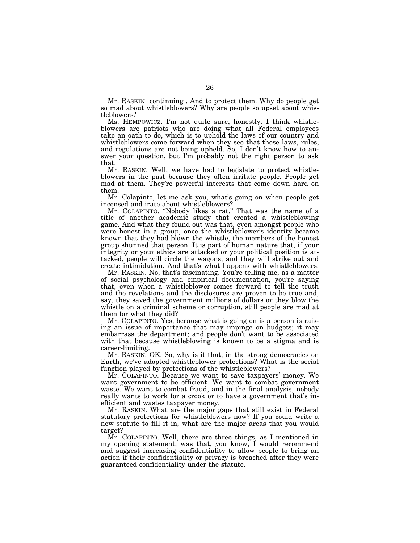Mr. RASKIN [continuing]. And to protect them. Why do people get so mad about whistleblowers? Why are people so upset about whistleblowers?

Ms. HEMPOWICZ. I'm not quite sure, honestly. I think whistleblowers are patriots who are doing what all Federal employees take an oath to do, which is to uphold the laws of our country and whistleblowers come forward when they see that those laws, rules, and regulations are not being upheld. So, I don't know how to answer your question, but I'm probably not the right person to ask that.

Mr. RASKIN. Well, we have had to legislate to protect whistleblowers in the past because they often irritate people. People get mad at them. They're powerful interests that come down hard on them.

Mr. Colapinto, let me ask you, what's going on when people get incensed and irate about whistleblowers?

Mr. COLAPINTO. ''Nobody likes a rat.'' That was the name of a title of another academic study that created a whistleblowing game. And what they found out was that, even amongst people who were honest in a group, once the whistleblower's identity became known that they had blown the whistle, the members of the honest group shunned that person. It is part of human nature that, if your integrity or your ethics are attacked or your political position is attacked, people will circle the wagons, and they will strike out and create intimidation. And that's what happens with whistleblowers.

Mr. RASKIN. No, that's fascinating. You're telling me, as a matter of social psychology and empirical documentation, you're saying that, even when a whistleblower comes forward to tell the truth and the revelations and the disclosures are proven to be true and, say, they saved the government millions of dollars or they blow the whistle on a criminal scheme or corruption, still people are mad at them for what they did?

Mr. COLAPINTO. Yes, because what is going on is a person is raising an issue of importance that may impinge on budgets; it may embarrass the department; and people don't want to be associated with that because whistleblowing is known to be a stigma and is career-limiting.

Mr. RASKIN. OK. So, why is it that, in the strong democracies on Earth, we've adopted whistleblower protections? What is the social function played by protections of the whistleblowers?

Mr. COLAPINTO. Because we want to save taxpayers' money. We want government to be efficient. We want to combat government waste. We want to combat fraud, and in the final analysis, nobody really wants to work for a crook or to have a government that's inefficient and wastes taxpayer money.

Mr. RASKIN. What are the major gaps that still exist in Federal statutory protections for whistleblowers now? If you could write a new statute to fill it in, what are the major areas that you would target?

Mr. COLAPINTO. Well, there are three things, as I mentioned in my opening statement, was that, you know, I would recommend and suggest increasing confidentiality to allow people to bring an action if their confidentiality or privacy is breached after they were guaranteed confidentiality under the statute.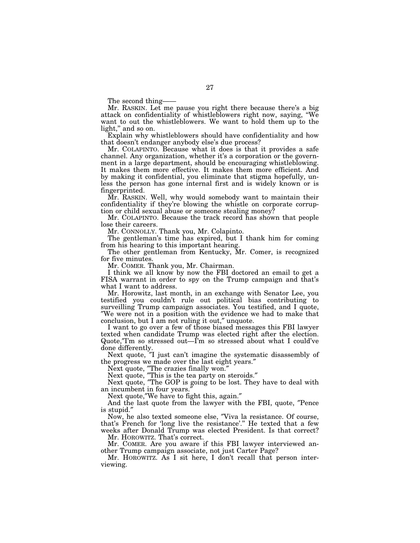The second thing-

Mr. RASKIN. Let me pause you right there because there's a big tack on confidentiality of whistleblowers right now, saying, "We attack on confidentiality of whistleblowers right now, saying, want to out the whistleblowers. We want to hold them up to the light,'' and so on.

Explain why whistleblowers should have confidentiality and how that doesn't endanger anybody else's due process?

Mr. COLAPINTO. Because what it does is that it provides a safe channel. Any organization, whether it's a corporation or the government in a large department, should be encouraging whistleblowing. It makes them more effective. It makes them more efficient. And by making it confidential, you eliminate that stigma hopefully, unless the person has gone internal first and is widely known or is fingerprinted.

Mr. RASKIN. Well, why would somebody want to maintain their confidentiality if they're blowing the whistle on corporate corruption or child sexual abuse or someone stealing money?

Mr. COLAPINTO. Because the track record has shown that people lose their careers.

Mr. CONNOLLY. Thank you, Mr. Colapinto.

The gentleman's time has expired, but I thank him for coming from his hearing to this important hearing.

The other gentleman from Kentucky, Mr. Comer, is recognized for five minutes.

Mr. COMER. Thank you, Mr. Chairman.

I think we all know by now the FBI doctored an email to get a FISA warrant in order to spy on the Trump campaign and that's what I want to address.

Mr. Horowitz, last month, in an exchange with Senator Lee, you testified you couldn't rule out political bias contributing to surveilling Trump campaign associates. You testified, and I quote, ″We were not in a position with the evidence we had to make that conclusion, but I am not ruling it out,″ unquote.

I want to go over a few of those biased messages this FBI lawyer texted when candidate Trump was elected right after the election. Quote,″I'm so stressed out—I'm so stressed about what I could've done differently.

Next quote, ″I just can't imagine the systematic disassembly of the progress we made over the last eight years.″

Next quote, ″The crazies finally won.″

Next quote, ″This is the tea party on steroids.″

Next quote, ″The GOP is going to be lost. They have to deal with an incumbent in four years.

Next quote,″We have to fight this, again.″

And the last quote from the lawyer with the FBI, quote, ″Pence is stupid.″

Now, he also texted someone else, ″Viva la resistance. Of course, that's French for 'long live the resistance'.'' He texted that a few weeks after Donald Trump was elected President. Is that correct?

Mr. HOROWITZ. That's correct.

Mr. COMER. Are you aware if this FBI lawyer interviewed another Trump campaign associate, not just Carter Page?

Mr. HOROWITZ. As I sit here, I don't recall that person interviewing.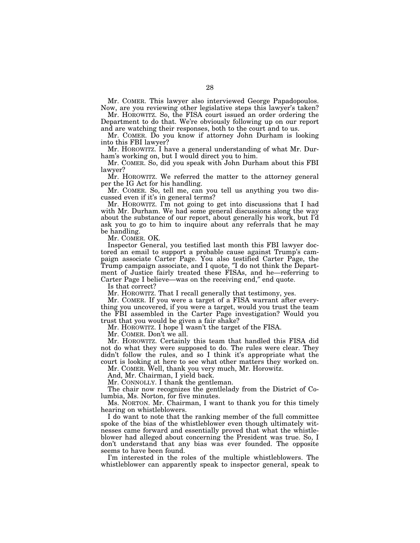Mr. COMER. This lawyer also interviewed George Papadopoulos. Now, are you reviewing other legislative steps this lawyer's taken?

Mr. HOROWITZ. So, the FISA court issued an order ordering the Department to do that. We're obviously following up on our report and are watching their responses, both to the court and to us.

Mr. COMER. Do you know if attorney John Durham is looking into this FBI lawyer?

Mr. HOROWITZ. I have a general understanding of what Mr. Durham's working on, but I would direct you to him.

Mr. COMER. So, did you speak with John Durham about this FBI lawyer?

Mr. HOROWITZ. We referred the matter to the attorney general per the IG Act for his handling.

Mr. COMER. So, tell me, can you tell us anything you two discussed even if it's in general terms?

Mr. HOROWITZ. I'm not going to get into discussions that I had with Mr. Durham. We had some general discussions along the way about the substance of our report, about generally his work, but I'd ask you to go to him to inquire about any referrals that he may be handling.

Mr. COMER. OK.

Inspector General, you testified last month this FBI lawyer doctored an email to support a probable cause against Trump's campaign associate Carter Page. You also testified Carter Page, the Trump campaign associate, and I quote, ″I do not think the Department of Justice fairly treated these FISAs, and he—referring to Carter Page I believe—was on the receiving end,″ end quote.

Is that correct?

Mr. HOROWITZ. That I recall generally that testimony, yes.

Mr. COMER. If you were a target of a FISA warrant after everything you uncovered, if you were a target, would you trust the team the FBI assembled in the Carter Page investigation? Would you trust that you would be given a fair shake?

Mr. HOROWITZ. I hope I wasn't the target of the FISA.

Mr. COMER. Don't we all.

Mr. HOROWITZ. Certainly this team that handled this FISA did not do what they were supposed to do. The rules were clear. They didn't follow the rules, and so I think it's appropriate what the court is looking at here to see what other matters they worked on.

Mr. COMER. Well, thank you very much, Mr. Horowitz.

And, Mr. Chairman, I yield back.

Mr. CONNOLLY. I thank the gentleman.

The chair now recognizes the gentlelady from the District of Columbia, Ms. Norton, for five minutes.

Ms. NORTON. Mr. Chairman, I want to thank you for this timely hearing on whistleblowers.

I do want to note that the ranking member of the full committee spoke of the bias of the whistleblower even though ultimately witnesses came forward and essentially proved that what the whistleblower had alleged about concerning the President was true. So, I don't understand that any bias was ever founded. The opposite seems to have been found.

I'm interested in the roles of the multiple whistleblowers. The whistleblower can apparently speak to inspector general, speak to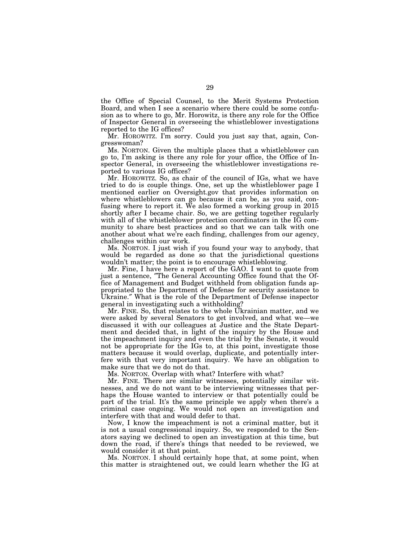the Office of Special Counsel, to the Merit Systems Protection Board, and when I see a scenario where there could be some confusion as to where to go, Mr. Horowitz, is there any role for the Office of Inspector General in overseeing the whistleblower investigations reported to the IG offices?

Mr. HOROWITZ. I'm sorry. Could you just say that, again, Congresswoman?

Ms. NORTON. Given the multiple places that a whistleblower can go to, I'm asking is there any role for your office, the Office of Inspector General, in overseeing the whistleblower investigations reported to various IG offices?

Mr. HOROWITZ. So, as chair of the council of IGs, what we have tried to do is couple things. One, set up the whistleblower page I mentioned earlier on Oversight.gov that provides information on where whistleblowers can go because it can be, as you said, confusing where to report it. We also formed a working group in 2015 shortly after I became chair. So, we are getting together regularly with all of the whistleblower protection coordinators in the IG community to share best practices and so that we can talk with one another about what we're each finding, challenges from our agency, challenges within our work.

Ms. NORTON. I just wish if you found your way to anybody, that would be regarded as done so that the jurisdictional questions wouldn't matter; the point is to encourage whistleblowing.

Mr. Fine, I have here a report of the GAO. I want to quote from just a sentence, ″The General Accounting Office found that the Office of Management and Budget withheld from obligation funds appropriated to the Department of Defense for security assistance to Ukraine.″ What is the role of the Department of Defense inspector general in investigating such a withholding?

Mr. FINE. So, that relates to the whole Ukrainian matter, and we were asked by several Senators to get involved, and what we—we discussed it with our colleagues at Justice and the State Department and decided that, in light of the inquiry by the House and the impeachment inquiry and even the trial by the Senate, it would not be appropriate for the IGs to, at this point, investigate those matters because it would overlap, duplicate, and potentially interfere with that very important inquiry. We have an obligation to make sure that we do not do that.

Ms. NORTON. Overlap with what? Interfere with what?

Mr. FINE. There are similar witnesses, potentially similar witnesses, and we do not want to be interviewing witnesses that perhaps the House wanted to interview or that potentially could be part of the trial. It's the same principle we apply when there's a criminal case ongoing. We would not open an investigation and interfere with that and would defer to that.

Now, I know the impeachment is not a criminal matter, but it is not a usual congressional inquiry. So, we responded to the Senators saying we declined to open an investigation at this time, but down the road, if there's things that needed to be reviewed, we would consider it at that point.

Ms. NORTON. I should certainly hope that, at some point, when this matter is straightened out, we could learn whether the IG at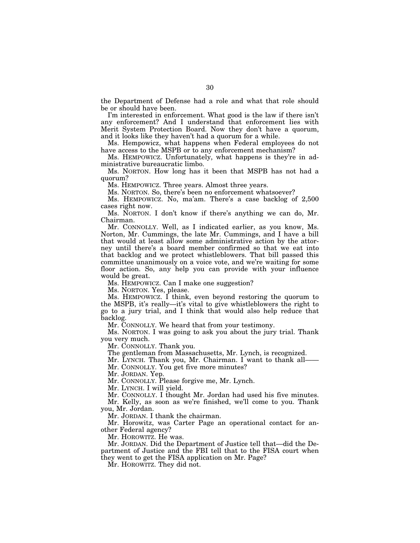the Department of Defense had a role and what that role should be or should have been.

I'm interested in enforcement. What good is the law if there isn't any enforcement? And I understand that enforcement lies with Merit System Protection Board. Now they don't have a quorum, and it looks like they haven't had a quorum for a while.

Ms. Hempowicz, what happens when Federal employees do not have access to the MSPB or to any enforcement mechanism?

Ms. HEMPOWICZ. Unfortunately, what happens is they're in administrative bureaucratic limbo.

Ms. NORTON. How long has it been that MSPB has not had a quorum?

Ms. HEMPOWICZ. Three years. Almost three years.

Ms. NORTON. So, there's been no enforcement whatsoever?

Ms. HEMPOWICZ. No, ma'am. There's a case backlog of 2,500 cases right now.

Ms. NORTON. I don't know if there's anything we can do, Mr. Chairman.

Mr. CONNOLLY. Well, as I indicated earlier, as you know, Ms. Norton, Mr. Cummings, the late Mr. Cummings, and I have a bill that would at least allow some administrative action by the attorney until there's a board member confirmed so that we eat into that backlog and we protect whistleblowers. That bill passed this committee unanimously on a voice vote, and we're waiting for some floor action. So, any help you can provide with your influence would be great.

Ms. HEMPOWICZ. Can I make one suggestion?

Ms. NORTON. Yes, please.

Ms. HEMPOWICZ. I think, even beyond restoring the quorum to the MSPB, it's really—it's vital to give whistleblowers the right to go to a jury trial, and I think that would also help reduce that backlog.

Mr. CONNOLLY. We heard that from your testimony.

Ms. NORTON. I was going to ask you about the jury trial. Thank you very much.

Mr. CONNOLLY. Thank you.

The gentleman from Massachusetts, Mr. Lynch, is recognized.

Mr. LYNCH. Thank you, Mr. Chairman. I want to thank all-

Mr. CONNOLLY. You get five more minutes?

Mr. JORDAN. Yep.

Mr. CONNOLLY. Please forgive me, Mr. Lynch.

Mr. LYNCH. I will yield.

Mr. CONNOLLY. I thought Mr. Jordan had used his five minutes. Mr. Kelly, as soon as we're finished, we'll come to you. Thank you, Mr. Jordan.

Mr. JORDAN. I thank the chairman.

Mr. Horowitz, was Carter Page an operational contact for another Federal agency?

Mr. HOROWITZ. He was.

Mr. JORDAN. Did the Department of Justice tell that—did the Department of Justice and the FBI tell that to the FISA court when they went to get the FISA application on Mr. Page?

Mr. HOROWITZ. They did not.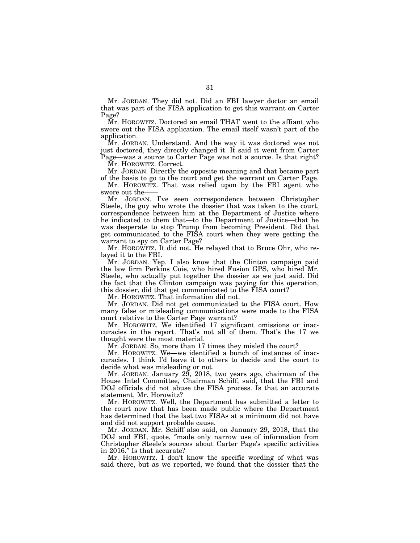Mr. JORDAN. They did not. Did an FBI lawyer doctor an email that was part of the FISA application to get this warrant on Carter Page?

Mr. HOROWITZ. Doctored an email THAT went to the affiant who swore out the FISA application. The email itself wasn't part of the application.

Mr. JORDAN. Understand. And the way it was doctored was not just doctored, they directly changed it. It said it went from Carter Page—was a source to Carter Page was not a source. Is that right?

Mr. HOROWITZ. Correct.

Mr. JORDAN. Directly the opposite meaning and that became part of the basis to go to the court and get the warrant on Carter Page.

Mr. HOROWITZ. That was relied upon by the FBI agent who swore out the-

Mr. JORDAN. I've seen correspondence between Christopher Steele, the guy who wrote the dossier that was taken to the court, correspondence between him at the Department of Justice where he indicated to them that—to the Department of Justice—that he was desperate to stop Trump from becoming President. Did that get communicated to the FISA court when they were getting the warrant to spy on Carter Page?

Mr. HOROWITZ. It did not. He relayed that to Bruce Ohr, who relayed it to the FBI.

Mr. JORDAN. Yep. I also know that the Clinton campaign paid the law firm Perkins Coie, who hired Fusion GPS, who hired Mr. Steele, who actually put together the dossier as we just said. Did the fact that the Clinton campaign was paying for this operation, this dossier, did that get communicated to the FISA court?

Mr. HOROWITZ. That information did not.

Mr. JORDAN. Did not get communicated to the FISA court. How many false or misleading communications were made to the FISA court relative to the Carter Page warrant?

Mr. HOROWITZ. We identified 17 significant omissions or inaccuracies in the report. That's not all of them. That's the 17 we thought were the most material.

Mr. JORDAN. So, more than 17 times they misled the court?

Mr. HOROWITZ. We—we identified a bunch of instances of inaccuracies. I think I'd leave it to others to decide and the court to decide what was misleading or not.

Mr. JORDAN. January 29, 2018, two years ago, chairman of the House Intel Committee, Chairman Schiff, said, that the FBI and DOJ officials did not abuse the FISA process. Is that an accurate statement, Mr. Horowitz?

Mr. HOROWITZ. Well, the Department has submitted a letter to the court now that has been made public where the Department has determined that the last two FISAs at a minimum did not have and did not support probable cause.

Mr. JORDAN. Mr. Schiff also said, on January 29, 2018, that the DOJ and FBI, quote, ″made only narrow use of information from Christopher Steele's sources about Carter Page's specific activities in 2016.″ Is that accurate?

Mr. HOROWITZ. I don't know the specific wording of what was said there, but as we reported, we found that the dossier that the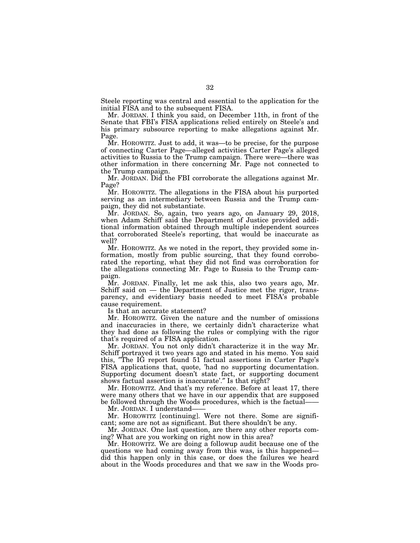Steele reporting was central and essential to the application for the initial FISA and to the subsequent FISA.

Mr. JORDAN. I think you said, on December 11th, in front of the Senate that FBI's FISA applications relied entirely on Steele's and his primary subsource reporting to make allegations against Mr. Page.

Mr. HOROWITZ. Just to add, it was—to be precise, for the purpose of connecting Carter Page—alleged activities Carter Page's alleged activities to Russia to the Trump campaign. There were—there was other information in there concerning Mr. Page not connected to the Trump campaign.

Mr. JORDAN. Did the FBI corroborate the allegations against Mr. Page?

Mr. HOROWITZ. The allegations in the FISA about his purported serving as an intermediary between Russia and the Trump campaign, they did not substantiate.

Mr. JORDAN. So, again, two years ago, on January 29, 2018, when Adam Schiff said the Department of Justice provided additional information obtained through multiple independent sources that corroborated Steele's reporting, that would be inaccurate as well?

Mr. HOROWITZ. As we noted in the report, they provided some information, mostly from public sourcing, that they found corroborated the reporting, what they did not find was corroboration for the allegations connecting Mr. Page to Russia to the Trump campaign.

Mr. JORDAN. Finally, let me ask this, also two years ago, Mr. Schiff said on — the Department of Justice met the rigor, transparency, and evidentiary basis needed to meet FISA's probable cause requirement.

Is that an accurate statement?

Mr. HOROWITZ. Given the nature and the number of omissions and inaccuracies in there, we certainly didn't characterize what they had done as following the rules or complying with the rigor that's required of a FISA application.

Mr. JORDAN. You not only didn't characterize it in the way Mr. Schiff portrayed it two years ago and stated in his memo. You said this, ″The IG report found 51 factual assertions in Carter Page's FISA applications that, quote, 'had no supporting documentation. Supporting document doesn't state fact, or supporting document shows factual assertion is inaccurate'.″ Is that right?

Mr. HOROWITZ. And that's my reference. Before at least 17, there were many others that we have in our appendix that are supposed be followed through the Woods procedures, which is the factual-

Mr. JORDAN. I understand-

Mr. HOROWITZ [continuing]. Were not there. Some are significant; some are not as significant. But there shouldn't be any.

Mr. JORDAN. One last question, are there any other reports coming? What are you working on right now in this area?

Mr. HOROWITZ. We are doing a followup audit because one of the questions we had coming away from this was, is this happened did this happen only in this case, or does the failures we heard about in the Woods procedures and that we saw in the Woods pro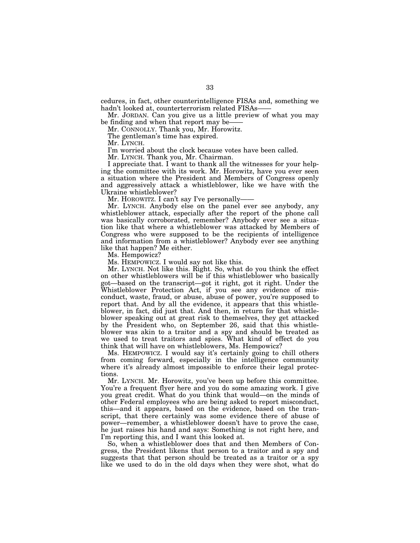cedures, in fact, other counterintelligence FISAs and, something we hadn't looked at, counterterrorism related FISAs-

Mr. JORDAN. Can you give us a little preview of what you may be finding and when that report may be-

Mr. CONNOLLY. Thank you, Mr. Horowitz.

The gentleman's time has expired.

Mr. LYNCH.

I'm worried about the clock because votes have been called.

Mr. LYNCH. Thank you, Mr. Chairman.

I appreciate that. I want to thank all the witnesses for your helping the committee with its work. Mr. Horowitz, have you ever seen a situation where the President and Members of Congress openly and aggressively attack a whistleblower, like we have with the Ukraine whistleblower?

Mr. HOROWITZ. I can't say I've personally-

Mr. LYNCH. Anybody else on the panel ever see anybody, any whistleblower attack, especially after the report of the phone call was basically corroborated, remember? Anybody ever see a situation like that where a whistleblower was attacked by Members of Congress who were supposed to be the recipients of intelligence and information from a whistleblower? Anybody ever see anything like that happen? Me either.

Ms. Hempowicz?

Ms. HEMPOWICZ. I would say not like this.

Mr. LYNCH. Not like this. Right. So, what do you think the effect on other whistleblowers will be if this whistleblower who basically got—based on the transcript—got it right, got it right. Under the Whistleblower Protection Act, if you see any evidence of misconduct, waste, fraud, or abuse, abuse of power, you're supposed to report that. And by all the evidence, it appears that this whistleblower, in fact, did just that. And then, in return for that whistleblower speaking out at great risk to themselves, they get attacked by the President who, on September 26, said that this whistleblower was akin to a traitor and a spy and should be treated as we used to treat traitors and spies. What kind of effect do you think that will have on whistleblowers, Ms. Hempowicz?

Ms. HEMPOWICZ. I would say it's certainly going to chill others from coming forward, especially in the intelligence community where it's already almost impossible to enforce their legal protections.

Mr. LYNCH. Mr. Horowitz, you've been up before this committee. You're a frequent flyer here and you do some amazing work. I give you great credit. What do you think that would—on the minds of other Federal employees who are being asked to report misconduct, this—and it appears, based on the evidence, based on the transcript, that there certainly was some evidence there of abuse of power—remember, a whistleblower doesn't have to prove the case, he just raises his hand and says: Something is not right here, and I'm reporting this, and I want this looked at.

So, when a whistleblower does that and then Members of Congress, the President likens that person to a traitor and a spy and suggests that that person should be treated as a traitor or a spy like we used to do in the old days when they were shot, what do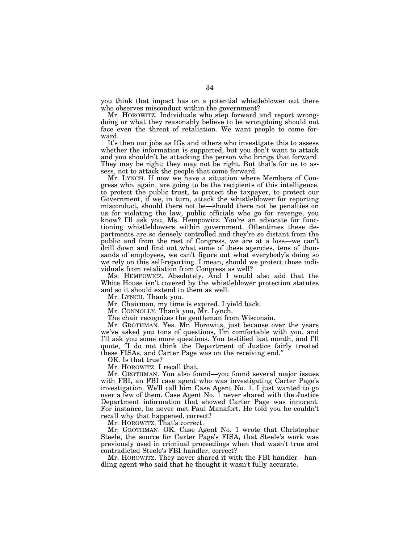you think that impact has on a potential whistleblower out there who observes misconduct within the government?

Mr. HOROWITZ. Individuals who step forward and report wrongdoing or what they reasonably believe to be wrongdoing should not face even the threat of retaliation. We want people to come forward.

It's then our jobs as IGs and others who investigate this to assess whether the information is supported, but you don't want to attack and you shouldn't be attacking the person who brings that forward. They may be right; they may not be right. But that's for us to assess, not to attack the people that come forward.

Mr. LYNCH. If now we have a situation where Members of Congress who, again, are going to be the recipients of this intelligence, to protect the public trust, to protect the taxpayer, to protect our Government, if we, in turn, attack the whistleblower for reporting misconduct, should there not be—should there not be penalties on us for violating the law, public officials who go for revenge, you know? I'll ask you, Ms. Hempowicz. You're an advocate for functioning whistleblowers within government. Oftentimes these departments are so densely controlled and they're so distant from the public and from the rest of Congress, we are at a loss—we can't drill down and find out what some of these agencies, tens of thousands of employees, we can't figure out what everybody's doing so we rely on this self-reporting. I mean, should we protect those individuals from retaliation from Congress as well?

Ms. HEMPOWICZ. Absolutely. And I would also add that the White House isn't covered by the whistleblower protection statutes and so it should extend to them as well.

Mr. LYNCH. Thank you.

Mr. Chairman, my time is expired. I yield back.

Mr. CONNOLLY. Thank you, Mr. Lynch.

The chair recognizes the gentleman from Wisconsin.

Mr. GROTHMAN. Yes. Mr. Horowitz, just because over the years we've asked you tons of questions, I'm comfortable with you, and I'll ask you some more questions. You testified last month, and I'll quote, ″I do not think the Department of Justice fairly treated these FISAs, and Carter Page was on the receiving end.″

OK. Is that true?

Mr. HOROWITZ. I recall that.

Mr. GROTHMAN. You also found—you found several major issues with FBI, an FBI case agent who was investigating Carter Page's investigation. We'll call him Case Agent No. 1. I just wanted to go over a few of them. Case Agent No.  $\overline{1}$  never shared with the Justice Department information that showed Carter Page was innocent. For instance, he never met Paul Manafort. He told you he couldn't recall why that happened, correct?

Mr. HOROWITZ. That's correct.

Mr. GROTHMAN. OK. Case Agent No. 1 wrote that Christopher Steele, the source for Carter Page's FISA, that Steele's work was previously used in criminal proceedings when that wasn't true and contradicted Steele's FBI handler, correct?

Mr. HOROWITZ. They never shared it with the FBI handler—handling agent who said that he thought it wasn't fully accurate.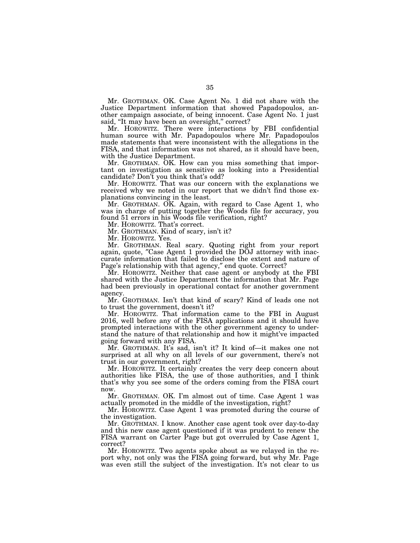Mr. GROTHMAN. OK. Case Agent No. 1 did not share with the Justice Department information that showed Papadopoulos, another campaign associate, of being innocent. Case Agent No. 1 just said, "It may have been an oversight," correct?

Mr. HOROWITZ. There were interactions by FBI confidential human source with Mr. Papadopoulos where Mr. Papadopoulos made statements that were inconsistent with the allegations in the FISA, and that information was not shared, as it should have been, with the Justice Department.

Mr. GROTHMAN. OK. How can you miss something that important on investigation as sensitive as looking into a Presidential candidate? Don't you think that's odd?

Mr. HOROWITZ. That was our concern with the explanations we received why we noted in our report that we didn't find those explanations convincing in the least.

Mr. GROTHMAN. OK. Again, with regard to Case Agent 1, who was in charge of putting together the Woods file for accuracy, you found 51 errors in his Woods file verification, right?

Mr. HOROWITZ. That's correct.

Mr. GROTHMAN. Kind of scary, isn't it?

Mr. HOROWITZ. Yes.

Mr. GROTHMAN. Real scary. Quoting right from your report again, quote, ″Case Agent 1 provided the DOJ attorney with inaccurate information that failed to disclose the extent and nature of Page's relationship with that agency,″ end quote. Correct?

Mr. HOROWITZ. Neither that case agent or anybody at the FBI shared with the Justice Department the information that Mr. Page had been previously in operational contact for another government agency.

Mr. GROTHMAN. Isn't that kind of scary? Kind of leads one not to trust the government, doesn't it?

Mr. HOROWITZ. That information came to the FBI in August 2016, well before any of the FISA applications and it should have prompted interactions with the other government agency to understand the nature of that relationship and how it might've impacted going forward with any FISA.

Mr. GROTHMAN. It's sad, isn't it? It kind of—it makes one not surprised at all why on all levels of our government, there's not trust in our government, right?

Mr. HOROWITZ. It certainly creates the very deep concern about authorities like FISA, the use of those authorities, and I think that's why you see some of the orders coming from the FISA court now.

Mr. GROTHMAN. OK. I'm almost out of time. Case Agent 1 was actually promoted in the middle of the investigation, right?

Mr. HOROWITZ. Case Agent 1 was promoted during the course of the investigation.

Mr. GROTHMAN. I know. Another case agent took over day-to-day and this new case agent questioned if it was prudent to renew the FISA warrant on Carter Page but got overruled by Case Agent 1, correct?

Mr. HOROWITZ. Two agents spoke about as we relayed in the report why, not only was the FISA going forward, but why Mr. Page was even still the subject of the investigation. It's not clear to us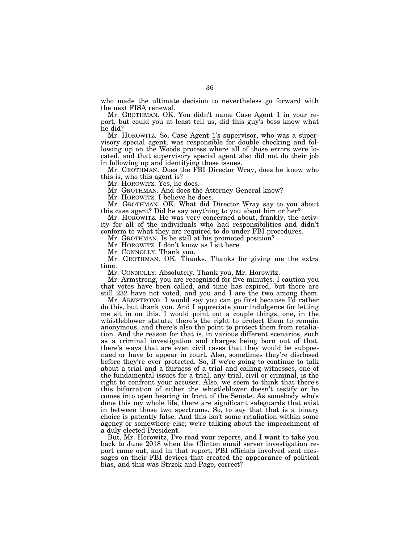who made the ultimate decision to nevertheless go forward with the next FISA renewal.

Mr. GROTHMAN. OK. You didn't name Case Agent 1 in your report, but could you at least tell us, did this guy's boss know what he did?

Mr. HOROWITZ. So, Case Agent 1's supervisor, who was a supervisory special agent, was responsible for double checking and following up on the Woods process where all of those errors were located, and that supervisory special agent also did not do their job in following up and identifying those issues.

Mr. GROTHMAN. Does the FBI Director Wray, does he know who this is, who this agent is?

Mr. HOROWITZ. Yes, he does.

Mr. GROTHMAN. And does the Attorney General know?

Mr. HOROWITZ. I believe he does.

Mr. GROTHMAN. OK. What did Director Wray say to you about this case agent? Did he say anything to you about him or her?

Mr. HOROWITZ. He was very concerned about, frankly, the activity for all of the individuals who had responsibilities and didn't conform to what they are required to do under FBI procedures.

Mr. GROTHMAN. Is he still at his promoted position?

Mr. HOROWITZ. I don't know as I sit here.

Mr. CONNOLLY. Thank you.

Mr. GROTHMAN. OK. Thanks. Thanks for giving me the extra time.

Mr. CONNOLLY. Absolutely. Thank you, Mr. Horowitz.

Mr. Armstrong, you are recognized for five minutes. I caution you that votes have been called, and time has expired, but there are still 232 have not voted, and you and I are the two among them.

Mr. ARMSTRONG. I would say you can go first because I'd rather do this, but thank you. And I appreciate your indulgence for letting me sit in on this. I would point out a couple things, one, in the whistleblower statute, there's the right to protect them to remain anonymous, and there's also the point to protect them from retaliation. And the reason for that is, in various different scenarios, such as a criminal investigation and charges being born out of that, there's ways that are even civil cases that they would be subpoenaed or have to appear in court. Also, sometimes they're disclosed before they're ever protected. So, if we're going to continue to talk about a trial and a fairness of a trial and calling witnesses, one of the fundamental issues for a trial, any trial, civil or criminal, is the right to confront your accuser. Also, we seem to think that there's this bifurcation of either the whistleblower doesn't testify or he comes into open hearing in front of the Senate. As somebody who's done this my whole life, there are significant safeguards that exist in between those two spectrums. So, to say that that is a binary choice is patently false. And this isn't some retaliation within some agency or somewhere else; we're talking about the impeachment of a duly elected President.

But, Mr. Horowitz, I've read your reports, and I want to take you back to June 2018 when the Clinton email server investigation report came out, and in that report, FBI officials involved sent messages on their FBI devices that created the appearance of political bias, and this was Strzok and Page, correct?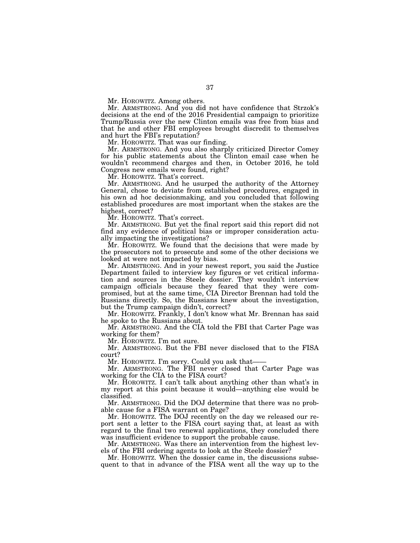Mr. HOROWITZ. Among others.

Mr. ARMSTRONG. And you did not have confidence that Strzok's decisions at the end of the 2016 Presidential campaign to prioritize Trump/Russia over the new Clinton emails was free from bias and that he and other FBI employees brought discredit to themselves and hurt the FBI's reputation?

Mr. HOROWITZ. That was our finding.

Mr. ARMSTRONG. And you also sharply criticized Director Comey for his public statements about the Clinton email case when he wouldn't recommend charges and then, in October 2016, he told Congress new emails were found, right?

Mr. HOROWITZ. That's correct.

Mr. ARMSTRONG. And he usurped the authority of the Attorney General, chose to deviate from established procedures, engaged in his own ad hoc decisionmaking, and you concluded that following established procedures are most important when the stakes are the highest, correct?

Mr. HOROWITZ. That's correct.

Mr. ARMSTRONG. But yet the final report said this report did not find any evidence of political bias or improper consideration actually impacting the investigations?

Mr. HOROWITZ. We found that the decisions that were made by the prosecutors not to prosecute and some of the other decisions we looked at were not impacted by bias.

Mr. ARMSTRONG. And in your newest report, you said the Justice Department failed to interview key figures or vet critical information and sources in the Steele dossier. They wouldn't interview campaign officials because they feared that they were compromised, but at the same time, CIA Director Brennan had told the Russians directly. So, the Russians knew about the investigation, but the Trump campaign didn't, correct?

Mr. HOROWITZ. Frankly, I don't know what Mr. Brennan has said he spoke to the Russians about.

Mr. ARMSTRONG. And the CIA told the FBI that Carter Page was working for them?

Mr. HOROWITZ. I'm not sure.

Mr. ARMSTRONG. But the FBI never disclosed that to the FISA court?

Mr. HOROWITZ. I'm sorry. Could you ask that——

Mr. ARMSTRONG. The FBI never closed that Carter Page was working for the CIA to the FISA court?

Mr. HOROWITZ. I can't talk about anything other than what's in my report at this point because it would—anything else would be classified.

Mr. ARMSTRONG. Did the DOJ determine that there was no probable cause for a FISA warrant on Page?

Mr. HOROWITZ. The DOJ recently on the day we released our report sent a letter to the FISA court saying that, at least as with regard to the final two renewal applications, they concluded there was insufficient evidence to support the probable cause.

Mr. ARMSTRONG. Was there an intervention from the highest levels of the FBI ordering agents to look at the Steele dossier?

Mr. HOROWITZ. When the dossier came in, the discussions subsequent to that in advance of the FISA went all the way up to the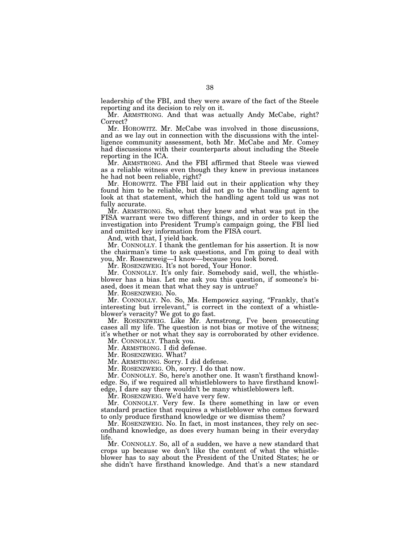leadership of the FBI, and they were aware of the fact of the Steele reporting and its decision to rely on it.

Mr. ARMSTRONG. And that was actually Andy McCabe, right? Correct?

Mr. HOROWITZ. Mr. McCabe was involved in those discussions, and as we lay out in connection with the discussions with the intelligence community assessment, both Mr. McCabe and Mr. Comey had discussions with their counterparts about including the Steele reporting in the ICA.

Mr. ARMSTRONG. And the FBI affirmed that Steele was viewed as a reliable witness even though they knew in previous instances he had not been reliable, right?

Mr. HOROWITZ. The FBI laid out in their application why they found him to be reliable, but did not go to the handling agent to look at that statement, which the handling agent told us was not fully accurate.

Mr. ARMSTRONG. So, what they knew and what was put in the FISA warrant were two different things, and in order to keep the investigation into President Trump's campaign going, the FBI lied and omitted key information from the FISA court.

And, with that, I yield back.

Mr. CONNOLLY. I thank the gentleman for his assertion. It is now the chairman's time to ask questions, and I'm going to deal with you, Mr. Rosenzweig—I know—because you look bored.

Mr. ROSENZWEIG. It's not bored, Your Honor.

Mr. CONNOLLY. It's only fair. Somebody said, well, the whistleblower has a bias. Let me ask you this question, if someone's biased, does it mean that what they say is untrue?

Mr. ROSENZWEIG. No.

Mr. CONNOLLY. No. So, Ms. Hempowicz saying, ''Frankly, that's interesting but irrelevant," is correct in the context of a whistleblower's veracity? We got to go fast.

Mr. ROSENZWEIG. Like Mr. Armstrong, I've been prosecuting cases all my life. The question is not bias or motive of the witness; it's whether or not what they say is corroborated by other evidence.

Mr. CONNOLLY. Thank you.

Mr. ARMSTRONG. I did defense.

Mr. ROSENZWEIG. What?

Mr. ARMSTRONG. Sorry. I did defense.

Mr. ROSENZWEIG. Oh, sorry. I do that now.

Mr. CONNOLLY. So, here's another one. It wasn't firsthand knowledge. So, if we required all whistleblowers to have firsthand knowledge, I dare say there wouldn't be many whistleblowers left.

Mr. ROSENZWEIG. We'd have very few.

Mr. CONNOLLY. Very few. Is there something in law or even standard practice that requires a whistleblower who comes forward to only produce firsthand knowledge or we dismiss them?

Mr. ROSENZWEIG. No. In fact, in most instances, they rely on secondhand knowledge, as does every human being in their everyday life.

Mr. CONNOLLY. So, all of a sudden, we have a new standard that crops up because we don't like the content of what the whistleblower has to say about the President of the United States; he or she didn't have firsthand knowledge. And that's a new standard